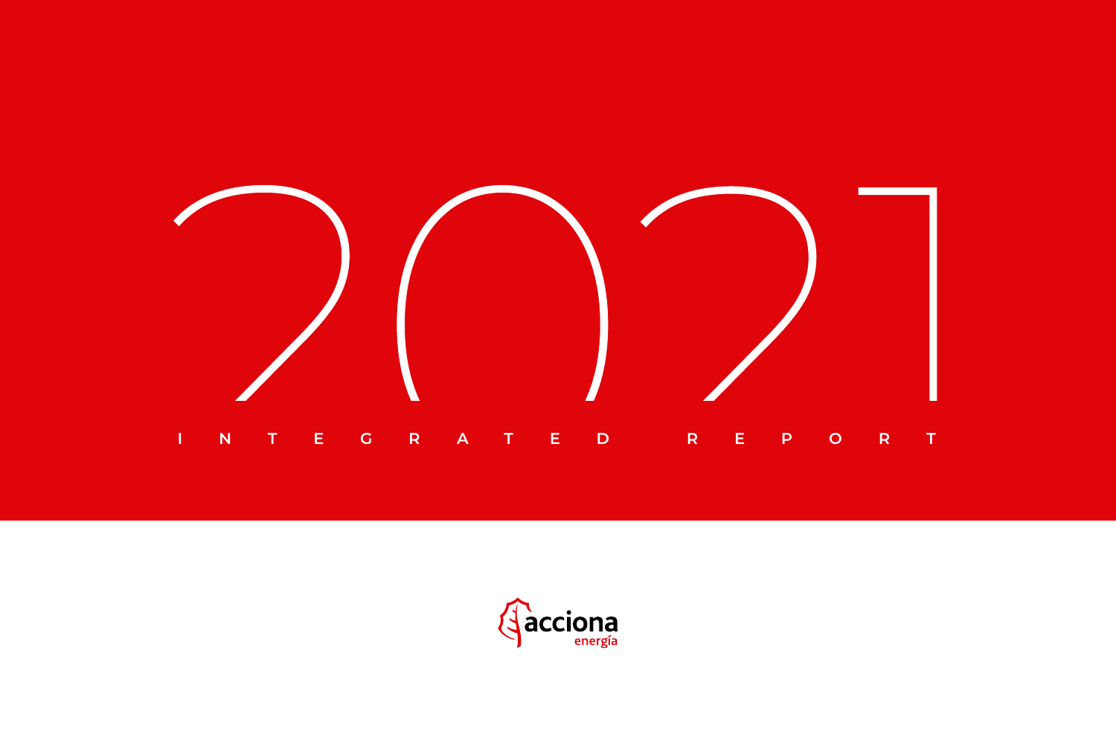<span id="page-0-0"></span>

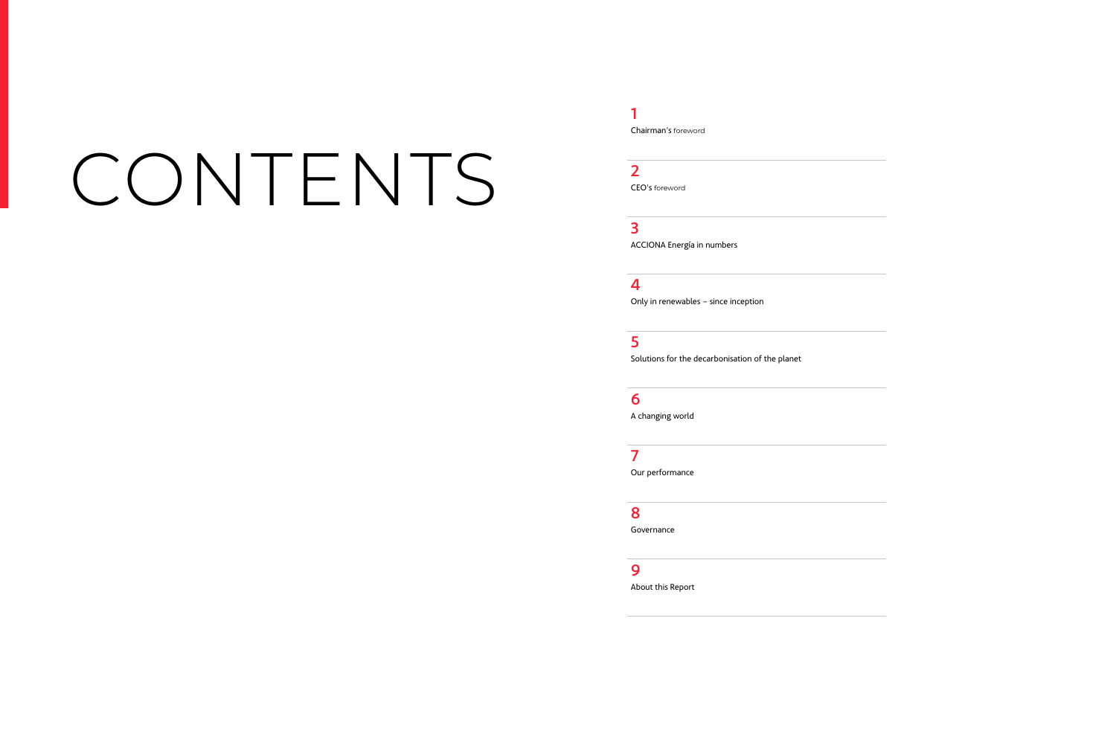# <span id="page-1-0"></span>CONTENTS

1 [Chairman's](#page-2-0) foreword

### 2

CEO's [foreword](#page-3-0)

#### 3

[ACCIONA Energía in numbers](#page-4-0)

4

[Only in renewables – since inception](#page-6-0)

#### 5

[Solutions for the decarbonisation of the planet](#page-11-0)

6

[A changing world](#page-18-0)

#### 7

[Our performance](#page-22-0)

#### 8

[Governance](#page-29-0)

#### 9

[About this Report](#page-34-0)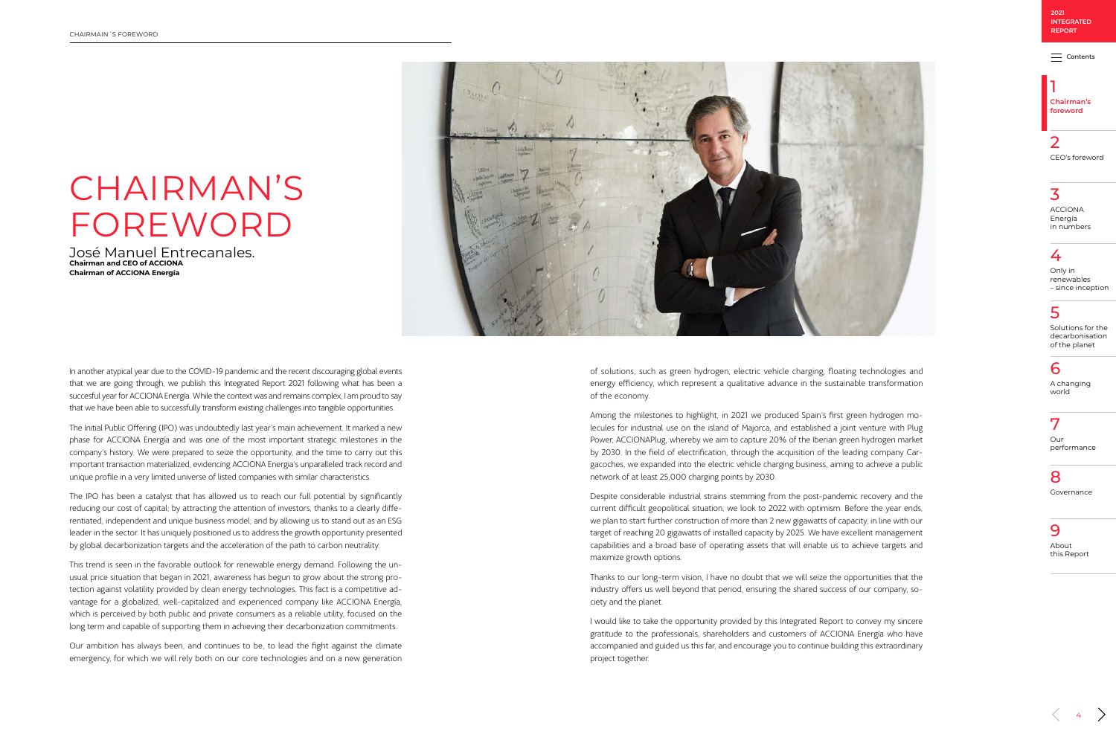

#### 1 **Chairman's foreword**

2 [CEO's foreword](#page-3-0)

### 3

ACCIONA Energía [in numbers](#page-4-0)

### 4

Only in renewables [– since inception](#page-6-0)

#### 5

[Solutions for the](#page-11-0)  decarbonisation of the planet

#### 6

[A changing](#page-18-0)  world

7 Our [performance](#page-22-0)

#### 8

[Governance](#page-29-0)

#### 9

About [this Report](#page-34-0)

**2021 [INTEGRATED](#page-0-0)  REPORT**

 $\equiv$  [Contents](#page-1-0)

# <span id="page-2-0"></span>CHAIRMAN'S FOREWORD

José Manuel Entrecanales. **Chairman and CEO of ACCIONA Chairman of ACCIONA Energía**

In another atypical year due to the COVID-19 pandemic and the recent discouraging global events that we are going through, we publish this Integrated Report 2021 following what has been a succesful year for ACCIONA Energía. While the context was and remains complex, I am proud to say that we have been able to successfully transform existing challenges into tangible opportunities.

The Initial Public Offering (IPO) was undoubtedly last year's main achievement. It marked a new phase for ACCIONA Energía and was one of the most important strategic milestones in the company's history. We were prepared to seize the opportunity, and the time to carry out this important transaction materialized, evidencing ACCIONA Energia's unparalleled track record and unique profile in a very limited universe of listed companies with similar characteristics.

The IPO has been a catalyst that has allowed us to reach our full potential by significantly reducing our cost of capital; by attracting the attention of investors, thanks to a clearly differentiated, independent and unique business model; and by allowing us to stand out as an ESG leader in the sector. It has uniquely positioned us to address the growth opportunity presented by global decarbonization targets and the acceleration of the path to carbon neutrality.

This trend is seen in the favorable outlook for renewable energy demand. Following the unusual price situation that began in 2021, awareness has begun to grow about the strong protection against volatility provided by clean energy technologies. This fact is a competitive advantage for a globalized, well-capitalized and experienced company like ACCIONA Energía, which is perceived by both public and private consumers as a reliable utility, focused on the long term and capable of supporting them in achieving their decarbonization commitments.

Our ambition has always been, and continues to be, to lead the fight against the climate emergency, for which we will rely both on our core technologies and on a new generation



of solutions, such as green hydrogen, electric vehicle charging, floating technologies and energy efficiency, which represent a qualitative advance in the sustainable transformation of the economy.

Among the milestones to highlight, in 2021 we produced Spain's first green hydrogen molecules for industrial use on the island of Majorca, and established a joint venture with Plug Power, ACCIONAPlug, whereby we aim to capture 20% of the Iberian green hydrogen market by 2030. In the field of electrification, through the acquisition of the leading company Cargacoches, we expanded into the electric vehicle charging business, aiming to achieve a public network of at least 25,000 charging points by 2030.

Despite considerable industrial strains stemming from the post-pandemic recovery and the current difficult geopolitical situation, we look to 2022 with optimism. Before the year ends, we plan to start further construction of more than 2 new gigawatts of capacity, in line with our target of reaching 20 gigawatts of installed capacity by 2025. We have excellent management capabilities and a broad base of operating assets that will enable us to achieve targets and maximize growth options.

Thanks to our long-term vision, I have no doubt that we will seize the opportunities that the industry offers us well beyond that period, ensuring the shared success of our company, society and the planet.

I would like to take the opportunity provided by this Integrated Report to convey my sincere gratitude to the professionals, shareholders and customers of ACCIONA Energía who have accompanied and guided us this far, and encourage you to continue building this extraordinary project together.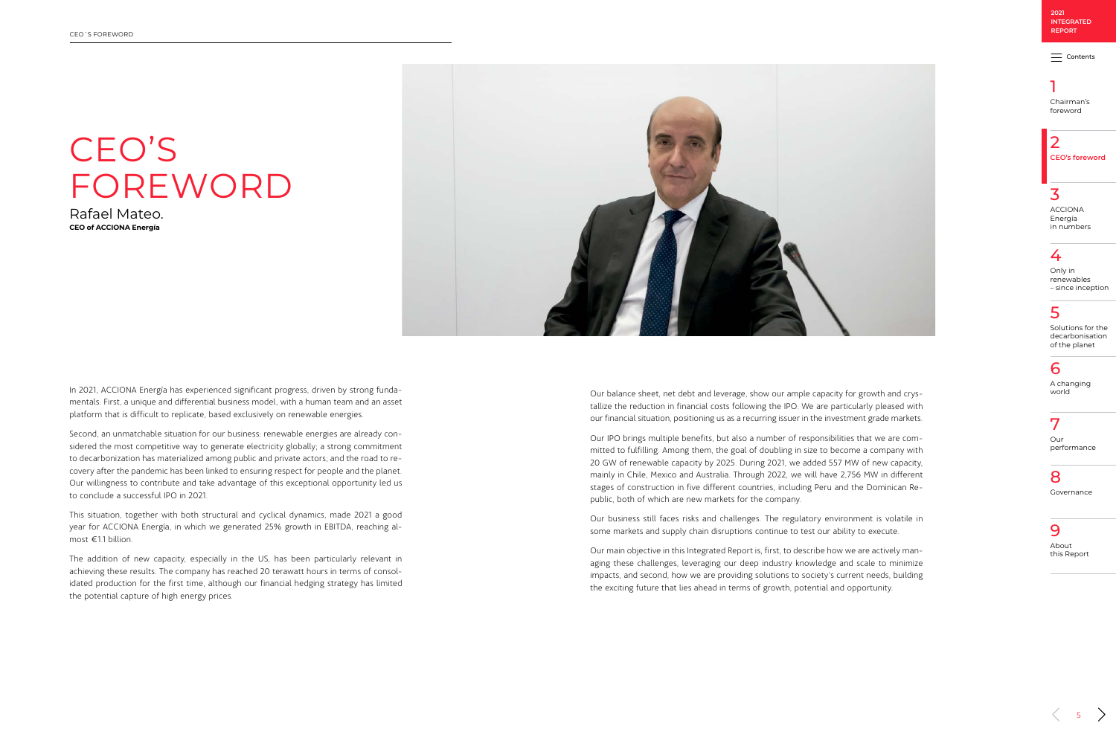$\equiv$  [Contents](#page-1-0)

#### $\overline{\mathcal{L}}$ **CEO's foreword**

### 1

[Chairman's](#page-2-0)  foreword

### 3

ACCIONA Energía [in numbers](#page-4-0)

### 4

Only in renewables [– since inception](#page-6-0)

#### 5

[Solutions for the](#page-11-0)  decarbonisation of the planet

#### 6

[A changing](#page-18-0)  world

7 Our [performance](#page-22-0)

#### 8

[Governance](#page-29-0)

#### 9

About [this Report](#page-34-0)

 $\overline{5}$   $\overline{)}$ 

# <span id="page-3-0"></span>CEO'S FOREWORD

Rafael Mateo. **CEO of ACCIONA Energía**



In 2021, ACCIONA Energía has experienced significant progress, driven by strong fundamentals. First, a unique and differential business model, with a human team and an asset platform that is difficult to replicate, based exclusively on renewable energies.

Second, an unmatchable situation for our business: renewable energies are already considered the most competitive way to generate electricity globally; a strong commitment to decarbonization has materialized among public and private actors; and the road to recovery after the pandemic has been linked to ensuring respect for people and the planet. Our willingness to contribute and take advantage of this exceptional opportunity led us to conclude a successful IPO in 2021.

This situation, together with both structural and cyclical dynamics, made 2021 a good year for ACCIONA Energía, in which we generated 25% growth in EBITDA, reaching almost €1.1 billion.

The addition of new capacity, especially in the US, has been particularly relevant in achieving these results. The company has reached 20 terawatt hours in terms of consolidated production for the first time, although our financial hedging strategy has limited the potential capture of high energy prices.

Our balance sheet, net debt and leverage, show our ample capacity for growth and crystallize the reduction in financial costs following the IPO. We are particularly pleased with our financial situation, positioning us as a recurring issuer in the investment grade markets.

Our IPO brings multiple benefits, but also a number of responsibilities that we are committed to fulfilling. Among them, the goal of doubling in size to become a company with 20 GW of renewable capacity by 2025. During 2021, we added 557 MW of new capacity, mainly in Chile, Mexico and Australia. Through 2022, we will have 2,756 MW in different stages of construction in five different countries, including Peru and the Dominican Republic, both of which are new markets for the company.

Our business still faces risks and challenges. The regulatory environment is volatile in some markets and supply chain disruptions continue to test our ability to execute.

Our main objective in this Integrated Report is, first, to describe how we are actively managing these challenges, leveraging our deep industry knowledge and scale to minimize impacts, and second, how we are providing solutions to society's current needs, building the exciting future that lies ahead in terms of growth, potential and opportunity.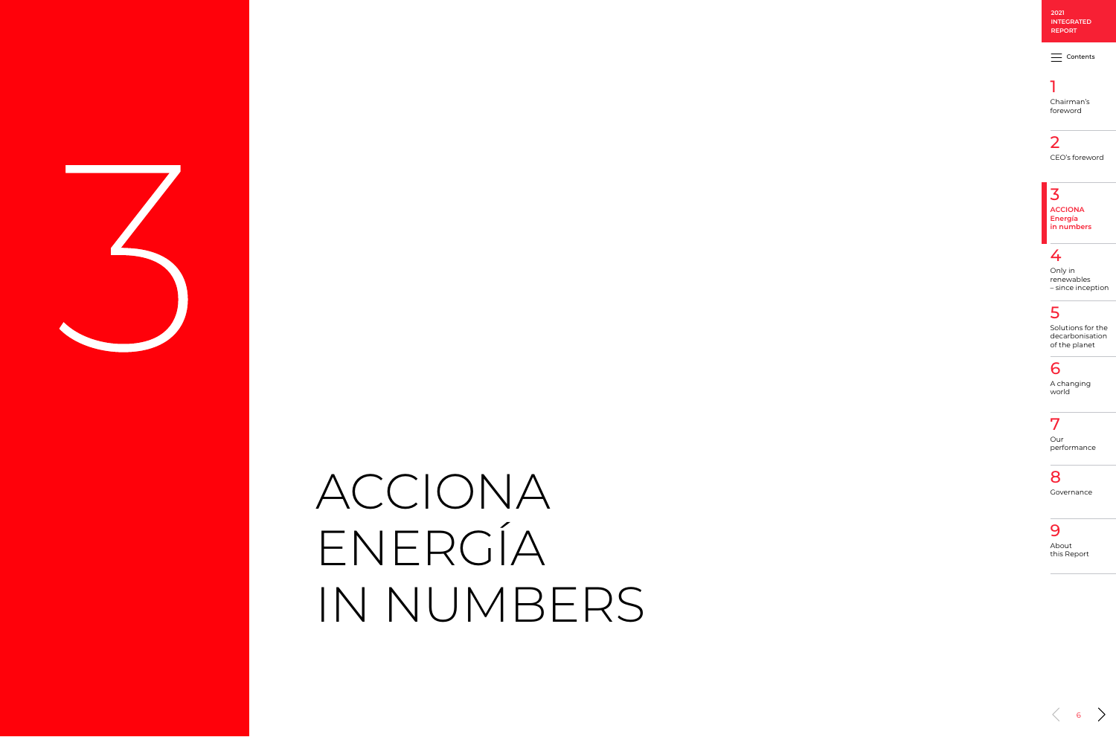$\equiv$  [Contents](#page-1-0)

### 1

[Chairman's](#page-2-0)  foreword

2 [CEO's foreword](#page-3-0)

#### 3 **ACCIONA Energía in numbers**

### 4

Only in renewables [– since inception](#page-6-0)

#### 5

[Solutions for the](#page-11-0)  decarbonisation of the planet

#### 6

[A changing](#page-18-0)  world

7

Our [performance](#page-22-0)

#### 8

[Governance](#page-29-0)

#### 9

About [this Report](#page-34-0)

 $\langle 6 \rangle$ 

<span id="page-4-0"></span>

# ACCIONA ENERGÍA IN NUMBERS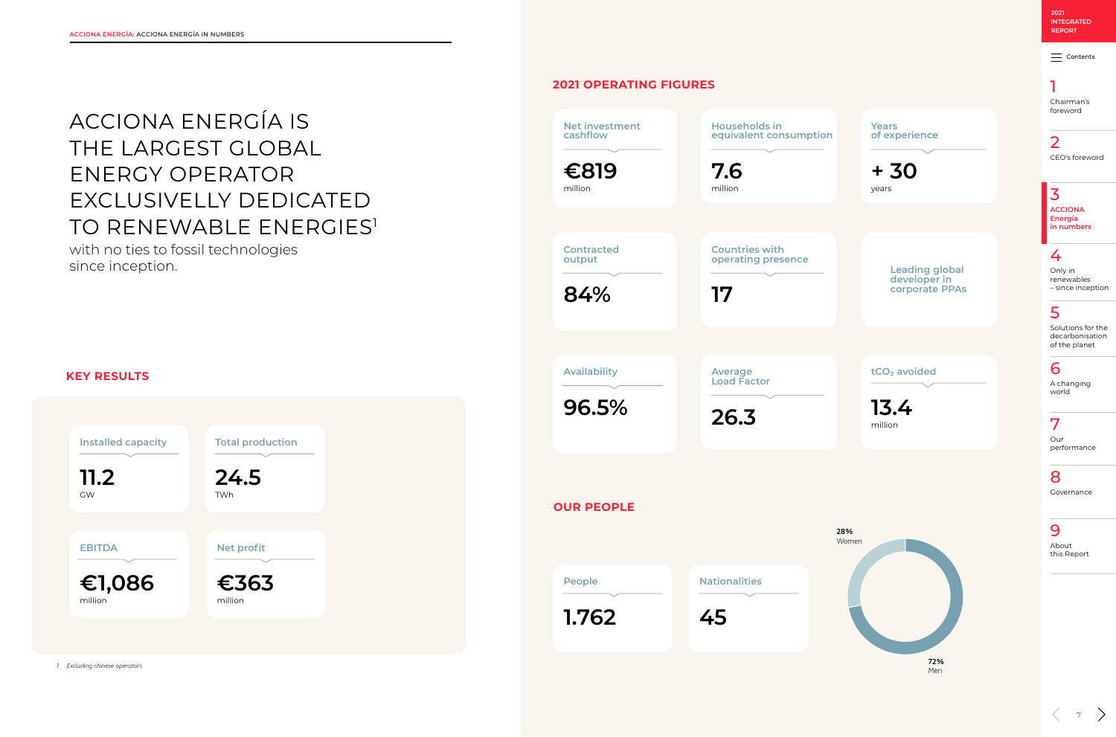$\equiv$  [Contents](#page-1-0)

### 1

[Chairman's](#page-2-0)  foreword

2 [CEO's foreword](#page-3-0)

3 **ACCIONA Energía [in numbers](#page-4-0)**

### 4

Only in renewables [– since inception](#page-6-0)

### 5

[Solutions for the](#page-11-0)  decarbonisation of the planet

6

[A changing](#page-18-0)  world

7

## ACCIONA ENERGÍA IS THE LARGEST GLOBAL ENERGY OPERATOR EXCLUSIVELLY DEDICATED TO RENEWABLE ENERGIES<sup>1</sup>

Our [performance](#page-22-0)

### 8

[Governance](#page-29-0)

9

About [this Report](#page-34-0)

 $\qquad \qquad \frac{1}{7}$ 

| <b>Installed capacity</b> | <b>Total production</b> |
|---------------------------|-------------------------|
| 11.2<br><b>GW</b>         | 24.5<br>TWh             |
|                           |                         |
| <b>EBITDA</b>             | <b>Net profit</b>       |
| €1,086<br>million         | €363<br>million         |

with no ties to fossil technologies since inception.

#### **KEY RESULTS**





 *1 Excluding chinese operators*

#### **Years of experience**

**+ 30**  years

#### **Leading global developer in corporate PPAs**

#### **tCO₂ avoided**

**13.4**  million

#### **2021 OPERATING FIGURES**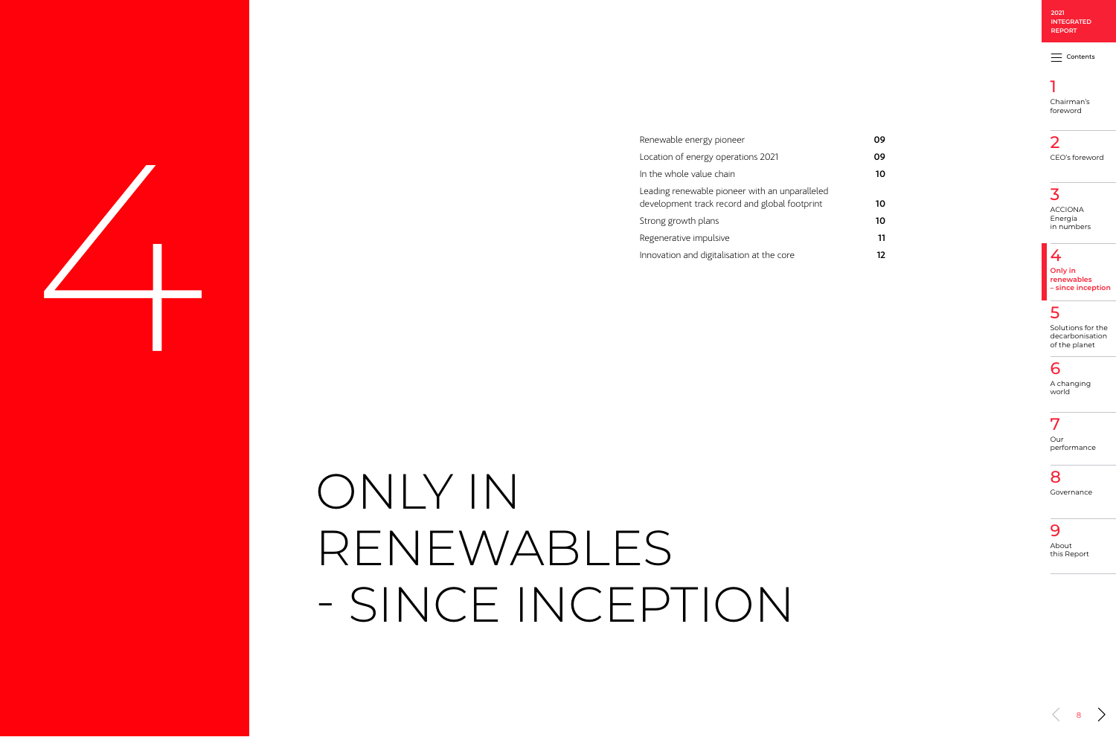$\equiv$  [Contents](#page-1-0)

### 1

[Chairman's](#page-2-0)  foreword

#### 2 [CEO's foreword](#page-3-0)

### 3

ACCIONA Energía [in numbers](#page-4-0)

### 4

**Only in renewables – since inception**

### 5

[Solutions for the](#page-11-0)  decarbonisation of the planet

#### 6

[A changing](#page-18-0)  world

7

Our [performance](#page-22-0)

#### 8

[Governance](#page-29-0)

#### 9

About [this Report](#page-34-0)

| Location of energy operations 2021                                                              | 09 |
|-------------------------------------------------------------------------------------------------|----|
| In the whole value chain                                                                        | 10 |
| Leading renewable pioneer with an unparalleled<br>development track record and global footprint | 10 |
| Strong growth plans                                                                             | 10 |
| Regenerative impulsive                                                                          | 11 |
| Innovation and digitalisation at the core                                                       | 12 |

 $\langle$  8  $\rangle$ 

<span id="page-6-0"></span>

# ONLY IN RENEWABLES - SINCE INCEPTION

[Renewable energy pioneer](#page-7-0) and the control of the COS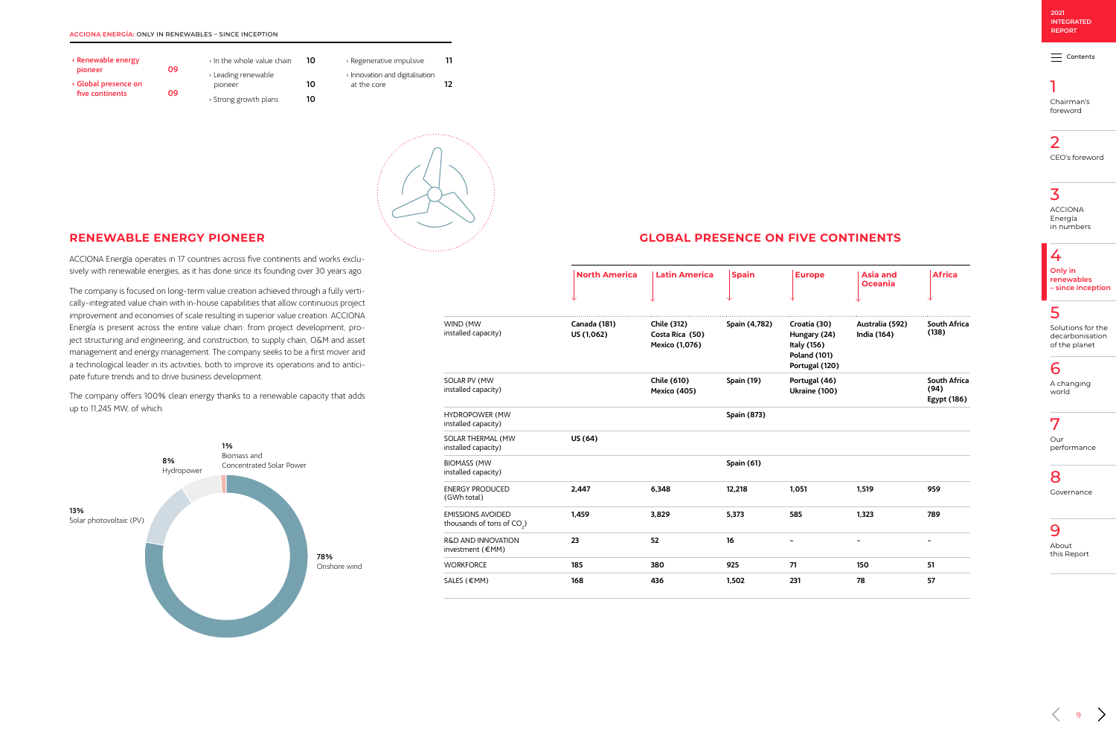$\equiv$  [Contents](#page-1-0)

### 1

[Chairman's](#page-2-0)  foreword

#### 2 [CEO's foreword](#page-3-0)

### 3

ACCIONA Energía [in numbers](#page-4-0)

### 4

**Only in renewables [– since inception](#page-6-0)**

### 5

[Solutions for the](#page-11-0)  decarbonisation of the planet

### 6

[A changing](#page-18-0)  world

7

Our [performance](#page-22-0)

#### 8

[Governance](#page-29-0)

9

About [this Report](#page-34-0)

 $\frac{9}{9}$  >

<span id="page-7-0"></span>

| « Renewable energy              | 09 | > In the whole value chain     | 10 | > Regenerative impulsive                       | 11 |
|---------------------------------|----|--------------------------------|----|------------------------------------------------|----|
| pioneer<br>« Global presence on |    | > Leading renewable<br>pioneer |    | > Innovation and digitalisation<br>at the core |    |
| five continents                 | 09 | > Strong growth plans          |    |                                                |    |



 $12$ 

#### **RENEWABLE ENERGY PIONEER**

ACCIONA Energía operates in 17 countries across five continents and works exclusively with renewable energies, as it has done since its founding over 30 years ago.

The company is focused on long-term value creation achieved through a fully vertically-integrated value chain with in-house capabilities that allow continuous project improvement and economies of scale resulting in superior value creation. ACCIONA Energía is present across the entire value chain: from project development, project structuring and engineering, and construction, to supply chain, O&M and asset management and energy management. The company seeks to be a first mover and a technological leader in its activities, both to improve its operations and to anticipate future trends and to drive business development.

The company offers 100% clean energy thanks to a renewable capacity that adds up to 11,245 MW, of which:

#### **GLOBAL PRESENCE ON FIVE CONTINENTS**



|                                                                    | <b>North America</b>              | <b>Latin America</b>                                    | <b>Spain</b>       | <b>Europe</b>                                                                        | <b>Asia and</b><br><b>Oceania</b> | <b>Africa</b>                       |
|--------------------------------------------------------------------|-----------------------------------|---------------------------------------------------------|--------------------|--------------------------------------------------------------------------------------|-----------------------------------|-------------------------------------|
| WIND (MW<br>installed capacity)                                    | <b>Canada (181)</b><br>US (1,062) | <b>Chile (312)</b><br>Costa Rica (50)<br>Mexico (1,076) | Spain (4,782)      | Croatia (30)<br>Hungary (24)<br>Italy (156)<br><b>Poland (101)</b><br>Portugal (120) | Australia (592)<br>India (164)    | <b>South Africa</b><br>(138)        |
| SOLAR PV (MW<br>installed capacity)                                |                                   | <b>Chile (610)</b><br>Mexico (405)                      | <b>Spain (19)</b>  | Portugal (46)<br>Ukraine (100)                                                       |                                   | South Africa<br>(94)<br>Egypt (186) |
| <b>HYDROPOWER (MW</b><br>installed capacity)                       |                                   |                                                         | <b>Spain (873)</b> |                                                                                      |                                   |                                     |
| SOLAR THERMAL (MW<br>installed capacity)                           | US (64)                           |                                                         |                    |                                                                                      |                                   |                                     |
| <b>BIOMASS (MW</b><br>installed capacity)                          |                                   |                                                         | <b>Spain (61)</b>  |                                                                                      |                                   |                                     |
| <b>ENERGY PRODUCED</b><br>(GWh total)                              | 2,447                             | 6,348                                                   | 12,218             | 1,051                                                                                | 1,519                             | 959                                 |
| <b>EMISSIONS AVOIDED</b><br>thousands of tons of CO <sub>2</sub> ) | 1,459                             | 3,829                                                   | 5,373              | 585                                                                                  | 1,323                             | 789                                 |
| <b>R&amp;D AND INNOVATION</b><br>investment ( $\notin$ MM)         | 23                                | 52                                                      | 16                 | $\blacksquare$                                                                       | $\blacksquare$                    | $\overline{\phantom{a}}$            |
| <b>WORKFORCE</b>                                                   | 185                               | 380                                                     | 925                | 71                                                                                   | 150                               | 51                                  |
| SALES (€MM)                                                        | 168                               | 436                                                     | 1,502              | 231                                                                                  | 78                                | 57                                  |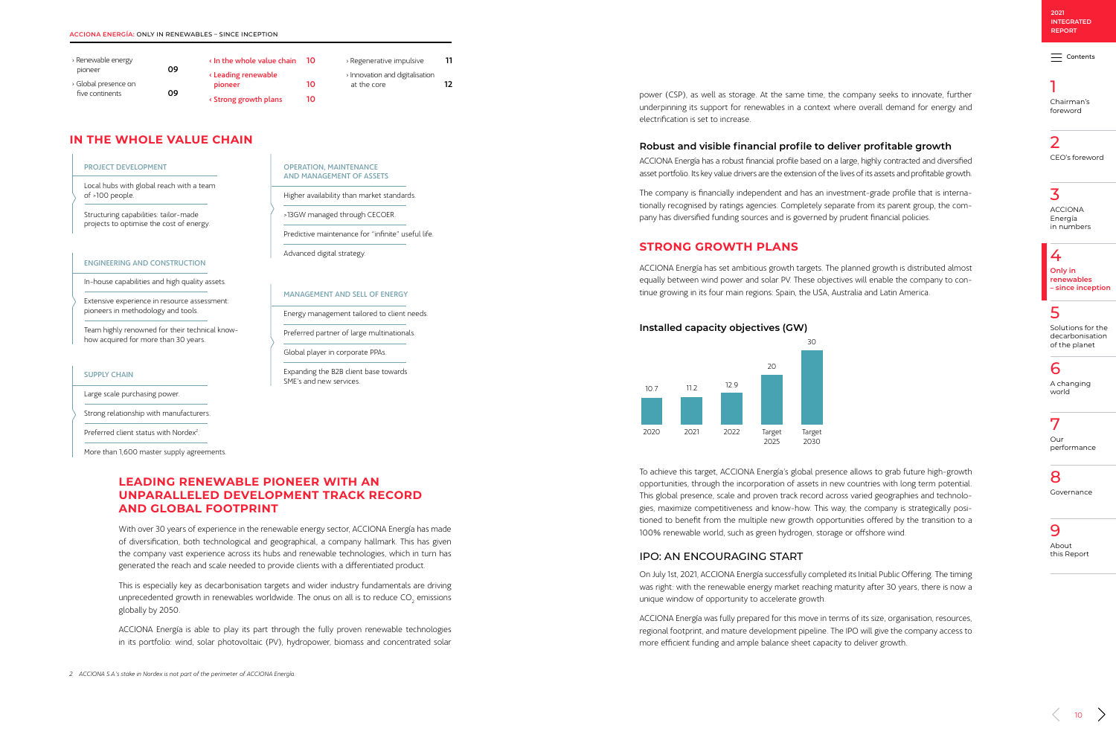$=$  [Contents](#page-1-0)

#### 1 [Chairman's](#page-2-0)  foreword

2 [CEO's foreword](#page-3-0)

3 ACCIONA Energía [in numbers](#page-4-0)

### 4

**Only in renewables [– since inception](#page-6-0)**

### 5

[Solutions for the](#page-11-0)  decarbonisation of the planet

#### 6

[A changing](#page-18-0)  world

7 Our [performance](#page-22-0)

#### 8

[Governance](#page-29-0)

9

About [this Report](#page-34-0)

<span id="page-8-0"></span>

| > Renewable energy   |    | $\cdot$ In the whole value chain $\cdot$ 10 | > Regenerative impulsive        | 11 |
|----------------------|----|---------------------------------------------|---------------------------------|----|
| <b>DIONEER</b>       | 09 | « Leading renewable                         | > Innovation and digitalisation |    |
| > Global presence on |    | <b>pioneer</b>                              | at the core                     |    |
| five continents      | 09 | < Strong growth plans                       |                                 |    |

#### **IN THE WHOLE VALUE CHAIN**

#### **LEADING RENEWABLE PIONEER WITH AN UNPARALLELED DEVELOPMENT TRACK RECORD AND GLOBAL FOOTPRINT**

With over 30 years of experience in the renewable energy sector, ACCIONA Energía has made of diversification, both technological and geographical, a company hallmark. This has given the company vast experience across its hubs and renewable technologies, which in turn has generated the reach and scale needed to provide clients with a differentiated product.

This is especially key as decarbonisation targets and wider industry fundamentals are driving unprecedented growth in renewables worldwide. The onus on all is to reduce CO<sub>2</sub> emissions globally by 2050.

ACCIONA Energía is able to play its part through the fully proven renewable technologies in its portfolio: wind, solar photovoltaic (PV), hydropower, biomass and concentrated solar

power (CSP), as well as storage. At the same time, the company seeks to innovate, further underpinning its support for renewables in a context where overall demand for energy and

# electrification is set to increase.

#### **Robust and visible financial profile to deliver profitable growth**

ACCIONA Energía has a robust financial profile based on a large, highly contracted and diversified asset portfolio. Its key value drivers are the extension of the lives of its assets and profitable growth.

The company is financially independent and has an investment-grade profile that is internationally recognised by ratings agencies. Completely separate from its parent group, the company has diversified funding sources and is governed by prudent financial policies.

#### **STRONG GROWTH PLANS**

ACCIONA Energía has set ambitious growth targets. The planned growth is distributed almost equally between wind power and solar PV. These objectives will enable the company to continue growing in its four main regions: Spain, the USA, Australia and Latin America.

#### **Installed capacity objectives (GW)**

To achieve this target, ACCIONA Energía's global presence allows to grab future high-growth opportunities, through the incorporation of assets in new countries with long term potential. This global presence, scale and proven track record across varied geographies and technologies, maximize competitiveness and know-how. This way, the company is strategically positioned to benefit from the multiple new growth opportunities offered by the transition to a 100% renewable world, such as green hydrogen, storage or offshore wind.

#### IPO: AN ENCOURAGING START

On July 1st, 2021, ACCIONA Energía successfully completed its Initial Public Offering. The timing was right: with the renewable energy market reaching maturity after 30 years, there is now a unique window of opportunity to accelerate growth.

ACCIONA Energía was fully prepared for this move in terms of its size, organisation, resources, regional footprint, and mature development pipeline. The IPO will give the company access to more efficient funding and ample balance sheet capacity to deliver growth.

#### PROJECT DEVELOPMENT

Local hubs with global reach with a team of >100 people.

Structuring capabilities: tailor-made projects to optimise the cost of energy.

ENGINEERING AND CONSTRUCTION

In-house capabilities and high quality assets.

Extensive experience in resource assessment: pioneers in methodology and tools.

Team highly renowned for their technical knowhow acquired for more than 30 years.

#### **SUPPLY CHAIN**

Large scale purchasing power.

Strong relationship with manufacturers.

Preferred client status with Nordex<sup>2</sup>.

More than 1,600 master supply agreements.

#### OPERATION, MAINTENANCE AND MANAGEMENT OF ASSETS

Higher availability than market standards.

>13GW managed through CECOER.

Predictive maintenance for "infinite" useful life.

Advanced digital strategy.

#### MANAGEMENT AND SELL OF ENERGY

Energy management tailored to client needs.

Preferred partner of large multinationals.

Global player in corporate PPAs.

Expanding the B2B client base towards SME's and new services.



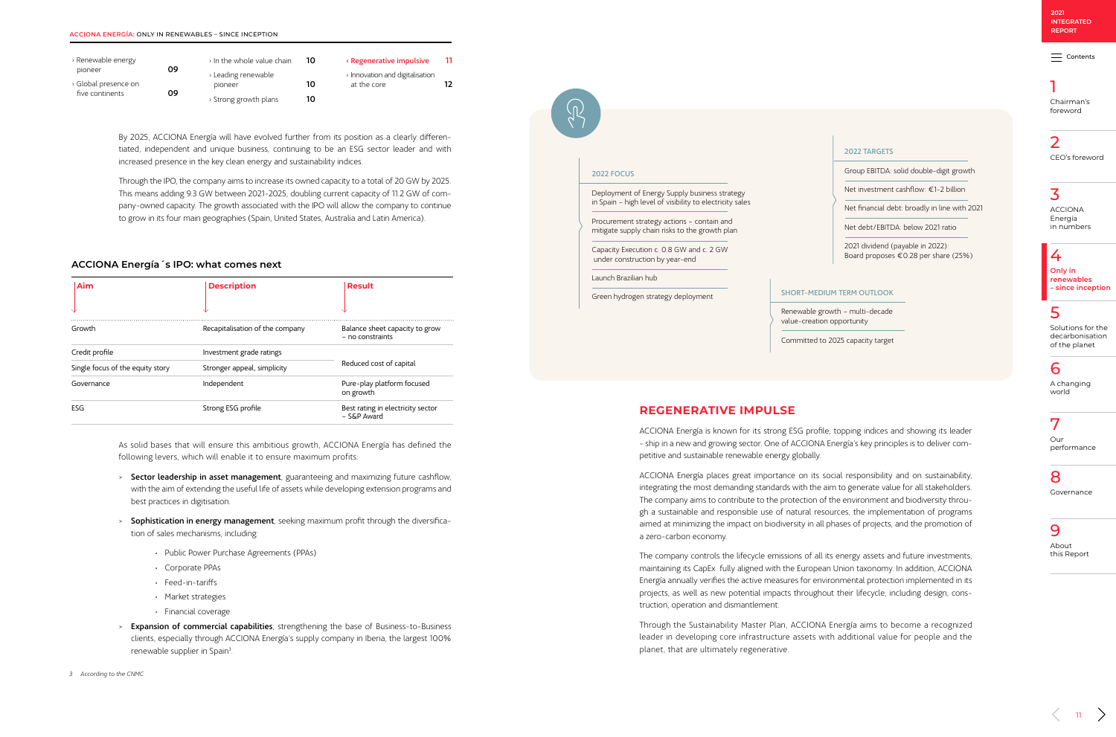$\equiv$  [Contents](#page-1-0)

### 1

[Chairman's](#page-2-0)  foreword

2 [CEO's foreword](#page-3-0)

3 ACCIONA

Energía [in numbers](#page-4-0)

### 4

**Only in renewables [– since inception](#page-6-0)**

#### 5

[Solutions for the](#page-11-0)  decarbonisation of the planet

#### 6

[A changing](#page-18-0)  world

7

Our [performance](#page-22-0)

#### 8

[Governance](#page-29-0)

9

About [this Report](#page-34-0)

<span id="page-9-0"></span>

| > Renewable energy              | 09 | > In the whole value chain     | 10 | « Regenerative impulsive                       | 11 |
|---------------------------------|----|--------------------------------|----|------------------------------------------------|----|
| pioneer<br>> Global presence on |    | > Leading renewable<br>pioneer | 10 | > Innovation and digitalisation<br>at the core |    |
| five continents                 | 09 | > Strong growth plans          |    |                                                |    |

By 2025, ACCIONA Energía will have evolved further from its position as a clearly differentiated, independent and unique business, continuing to be an ESG sector leader and with increased presence in the key clean energy and sustainability indices.

Through the IPO, the company aims to increase its owned capacity to a total of 20 GW by 2025. This means adding 9.3 GW between 2021-2025, doubling current capacity of 11.2 GW of company-owned capacity. The growth associated with the IPO will allow the company to continue to grow in its four main geographies (Spain, United States, Australia and Latin America).

#### **REGENERATIVE IMPULSE**

ACCIONA Energía is known for its strong ESG profile, topping indices and showing its leader - ship in a new and growing sector. One of ACCIONA Energía's key principles is to deliver competitive and sustainable renewable energy globally.

ACCIONA Energía places great importance on its social responsibility and on sustainability, integrating the most demanding standards with the aim to generate value for all stakeholders. The company aims to contribute to the protection of the environment and biodiversity through a sustainable and responsible use of natural resources, the implementation of programs aimed at minimizing the impact on biodiversity in all phases of projects, and the promotion of a zero-carbon economy.

The company controls the lifecycle emissions of all its energy assets and future investments, maintaining its CapEx fully aligned with the European Union taxonomy. In addition, ACCIONA Energía annually verifies the active measures for environmental protection implemented in its projects, as well as new potential impacts throughout their lifecycle, including design, construction, operation and dismantlement.

Through the Sustainability Master Plan, ACCIONA Energía aims to become a recognized leader in developing core infrastructure assets with additional value for people and the planet, that are ultimately regenerative.

#### **ACCIONA Energía´s IPO: what comes next**

| Aim                              | <b>Description</b>              | <b>Result</b>                                      |
|----------------------------------|---------------------------------|----------------------------------------------------|
|                                  |                                 |                                                    |
| Growth                           | Recapitalisation of the company | Balance sheet capacity to grow<br>- no constraints |
| Credit profile                   | Investment grade ratings        |                                                    |
| Single focus of the equity story | Stronger appeal, simplicity     | Reduced cost of capital                            |
| Governance                       | Independent                     | Pure-play platform focused<br>on growth            |
| ESG                              | Strong ESG profile              | Best rating in electricity sector<br>- S&P Award   |

As solid bases that will ensure this ambitious growth, ACCIONA Energía has defined the following levers, which will enable it to ensure maximum profits:

- > Sector leadership in asset management, guaranteeing and maximizing future cashflow, with the aim of extending the useful life of assets while developing extension programs and best practices in digitisation.
- > Sophistication in energy management, seeking maximum profit through the diversification of sales mechanisms, including:
	- Public Power Purchase Agreements (PPAs)
	- Corporate PPAs
	- Feed-in-tariffs
	- Market strategies
	- Financial coverage
- > Expansion of commercial capabilities, strengthening the base of Business-to-Business clients, especially through ACCIONA Energía's supply company in Iberia, the largest 100% renewable supplier in Spain<sup>3</sup>.

#### 2022 FOCUS

Deployment of Energy Supply business strategy in Spain – high level of visibility to electricity sales

Procurement strategy actions – contain and mitigate supply chain risks to the growth plan

Capacity Execution c. 0.8 GW and c. 2 GW under construction by year-end

Launch Brazilian hub

Green hydrogen strategy deployment

#### 2022 TARGETS

Group EBITDA: solid double-digit growth

Net investment cashflow: €1-2 billion

Net financial debt: broadly in line with 2021

Net debt/EBITDA: below 2021 ratio

2021 dividend (payable in 2022): Board proposes €0.28 per share (25%)

#### SHORT-MEDIUM TERM OUTLOOK

Renewable growth – multi-decade value-creation opportunity

Committed to 2025 capacity target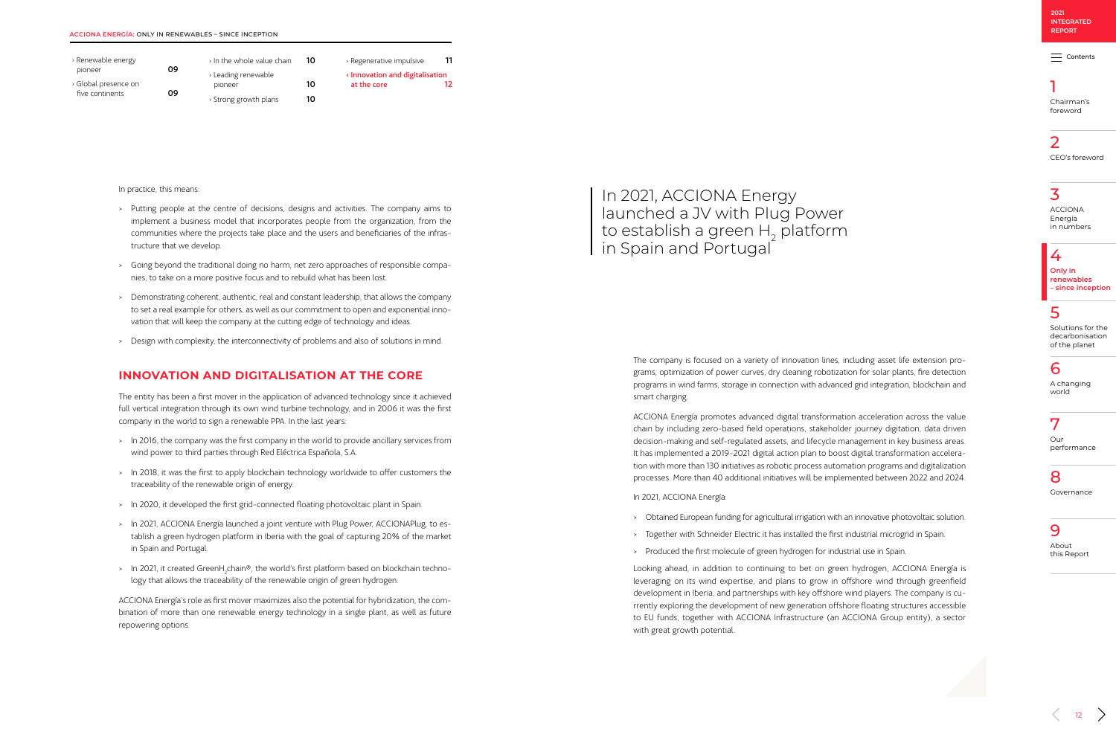$=$  [Contents](#page-1-0)

### 1

[Chairman's](#page-2-0)  foreword

#### 2 [CEO's foreword](#page-3-0)

### 3

ACCIONA Energía [in numbers](#page-4-0)

### 4

**Only in renewables [– since inception](#page-6-0)**

#### 5

[Solutions for the](#page-11-0)  decarbonisation of the planet

#### 6

[A changing](#page-18-0)  world

7 Our [performance](#page-22-0)

#### 8

[Governance](#page-29-0)

#### 9

About [this Report](#page-34-0)



<span id="page-10-0"></span>

| > Renewable energy   |    | > In the whole value chain | 10 | > Regenerative impulsive       | 11 |
|----------------------|----|----------------------------|----|--------------------------------|----|
| pioneer              | 09 | > Leading renewable        |    | «Innovation and digitalisation |    |
| > Global presence on |    | pioneer                    |    | at the core                    |    |
| five continents      | 09 | > Strong growth plans      |    |                                |    |

In practice, this means:

- > Putting people at the centre of decisions, designs and activities. The company aims to implement a business model that incorporates people from the organization, from the communities where the projects take place and the users and beneficiaries of the infrastructure that we develop.
- > Going beyond the traditional doing no harm, net zero approaches of responsible companies, to take on a more positive focus and to rebuild what has been lost.
- > Demonstrating coherent, authentic, real and constant leadership, that allows the company to set a real example for others, as well as our commitment to open and exponential innovation that will keep the company at the cutting edge of technology and ideas.
- > Design with complexity, the interconnectivity of problems and also of solutions in mind.

#### **INNOVATION AND DIGITALISATION AT THE CORE**

The entity has been a first mover in the application of advanced technology since it achieved full vertical integration through its own wind turbine technology, and in 2006 it was the first company in the world to sign a renewable PPA. In the last years:

- > In 2016, the company was the first company in the world to provide ancillary services from wind power to third parties through Red Eléctrica Española, S.A.
- > In 2018, it was the first to apply blockchain technology worldwide to offer customers the traceability of the renewable origin of energy.
- > In 2020, it developed the first grid-connected floating photovoltaic plant in Spain.
- > In 2021, ACCIONA Energía launched a joint venture with Plug Power, ACCIONAPlug, to establish a green hydrogen platform in Iberia with the goal of capturing 20% of the market in Spain and Portugal.
- > In 2021, it created GreenH<sub>2</sub>chain®, the world's first platform based on blockchain technology that allows the traceability of the renewable origin of green hydrogen.

ACCIONA Energía's role as first mover maximizes also the potential for hybridization, the combination of more than one renewable energy technology in a single plant, as well as future repowering options.

The company is focused on a variety of innovation lines, including asset life extension programs, optimization of power curves, dry cleaning robotization for solar plants, fire detection programs in wind farms, storage in connection with advanced grid integration, blockchain and smart charging.

ACCIONA Energía promotes advanced digital transformation acceleration across the value chain by including zero-based field operations, stakeholder journey digitation, data driven decision-making and self-regulated assets, and lifecycle management in key business areas. It has implemented a 2019-2021 digital action plan to boost digital transformation acceleration with more than 130 initiatives as robotic process automation programs and digitalization processes. More than 40 additional initiatives will be implemented between 2022 and 2024.

#### In 2021, ACCIONA Energía:

> Obtained European funding for agricultural irrigation with an innovative photovoltaic solution.

> Together with Schneider Electric it has installed the first industrial microgrid in Spain.

- 
- 
- > Produced the first molecule of green hydrogen for industrial use in Spain.

Looking ahead, in addition to continuing to bet on green hydrogen, ACCIONA Energía is leveraging on its wind expertise, and plans to grow in offshore wind through greenfield development in Iberia, and partnerships with key offshore wind players. The company is currently exploring the development of new generation offshore floating structures accessible to EU funds, together with ACCIONA Infrastructure (an ACCIONA Group entity), a sector with great growth potential.

In 2021, ACCIONA Energy launched a JV with Plug Power to establish a green  $H_2$  platform in Spain and Portugal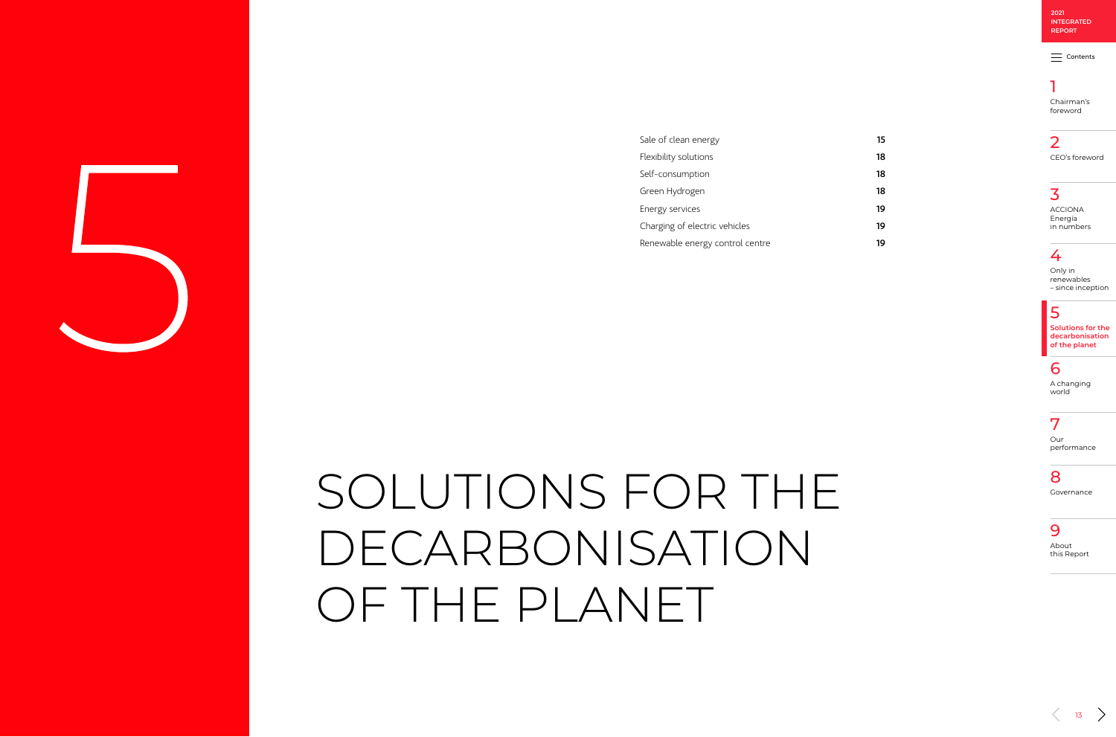<span id="page-11-0"></span>

[Sale of clean energy](#page-13-0) Flexibility solutions Self-consumption Green Hydrogen Energy services Charging of electric vehicles Renewable energy control centre 19 **2021 [INTEGRATED](#page-0-0)  REPORT**

 $\equiv$  [Contents](#page-1-0)

### 1

[Chairman's](#page-2-0)  foreword

#### 2 [CEO's foreword](#page-3-0)

### 3

ACCIONA Energía [in numbers](#page-4-0)

### 4

Only in renewables [– since inception](#page-6-0)

#### 5

**Solutions for the decarbonisation of the planet**

### 6

[A changing](#page-18-0)  world

7

Our [performance](#page-22-0)

#### 8

[Governance](#page-29-0)

#### 9

About [this Report](#page-34-0)

| 15 |  |  |  |
|----|--|--|--|
| 18 |  |  |  |
| 18 |  |  |  |
| 18 |  |  |  |
| 19 |  |  |  |
| 19 |  |  |  |
|    |  |  |  |

 $\langle$  13  $\rangle$ 

# SOLUTIONS FOR THE DECARBONISATION OF THE PLANET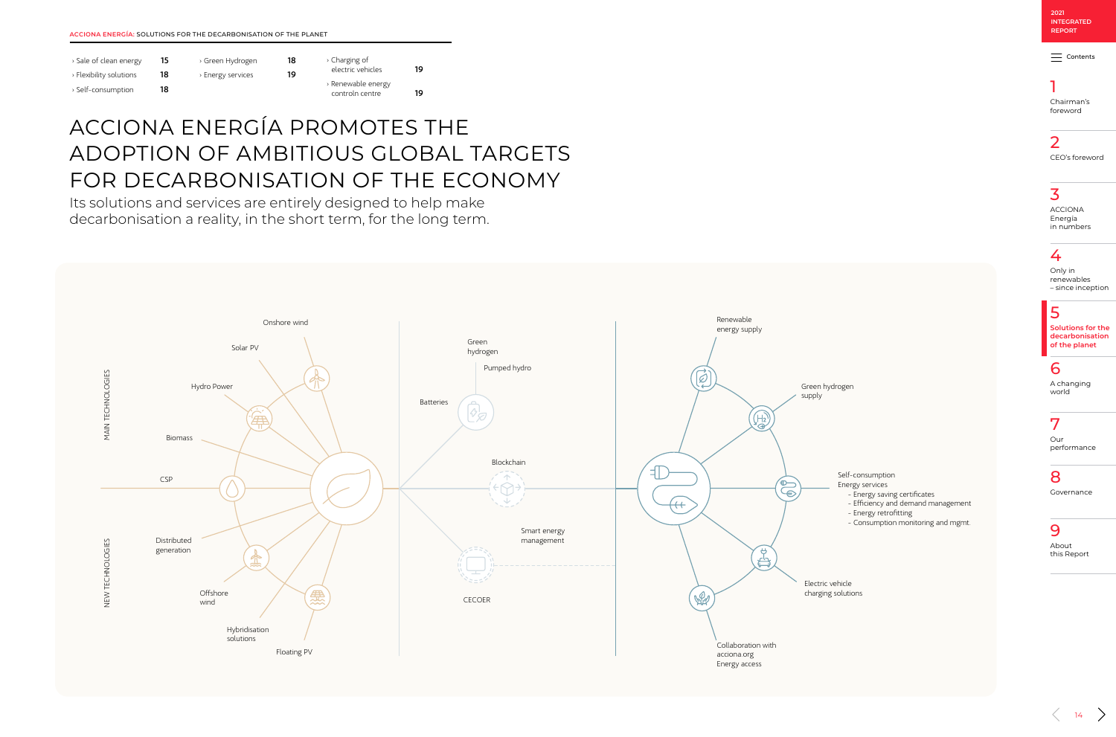

 $\equiv$  [Contents](#page-1-0)

### 1

[Chairman's](#page-2-0)  foreword

2 [CEO's foreword](#page-3-0)

### 3

ACCIONA Energía [in numbers](#page-4-0)

### 4

Only in renewables [– since inception](#page-6-0)

#### 5

**[Solutions for the](#page-11-0)  decarbonisation of the planet**

### 6

[A changing](#page-18-0)  world

7 Our [performance](#page-22-0)

#### 8

[Governance](#page-29-0)

#### 9

About [this Report](#page-34-0)

**ACCIONA ENERGÍA:** SOLUTIONS FOR THE DECARBONISATION OF THE PLANET

Green hydrogen supply

Its solutions and services are entirely designed to help make decarbonisation a reality, in the short term, for the long term.

> Self-consumption Energy services



- Energy saving certificates
- Efficiency and demand management
- Energy retrofitting
- Consumption monitoring and mgmt.

Electric vehicle charging solutions

## ACCIONA ENERGÍA PROMOTES THE ADOPTION OF AMBITIOUS GLOBAL TARGETS FOR DECARBONISATION OF THE ECONOMY

| > Sale of clean energy  | 15 | > Green Hydrogen  | 18 | $\rightarrow$ Charging of             |    |
|-------------------------|----|-------------------|----|---------------------------------------|----|
| > Flexibility solutions | 18 | > Energy services | 19 | electric vehicles                     | 19 |
| > Self-consumption      | 18 |                   |    | > Renewable energy<br>controln centre | 19 |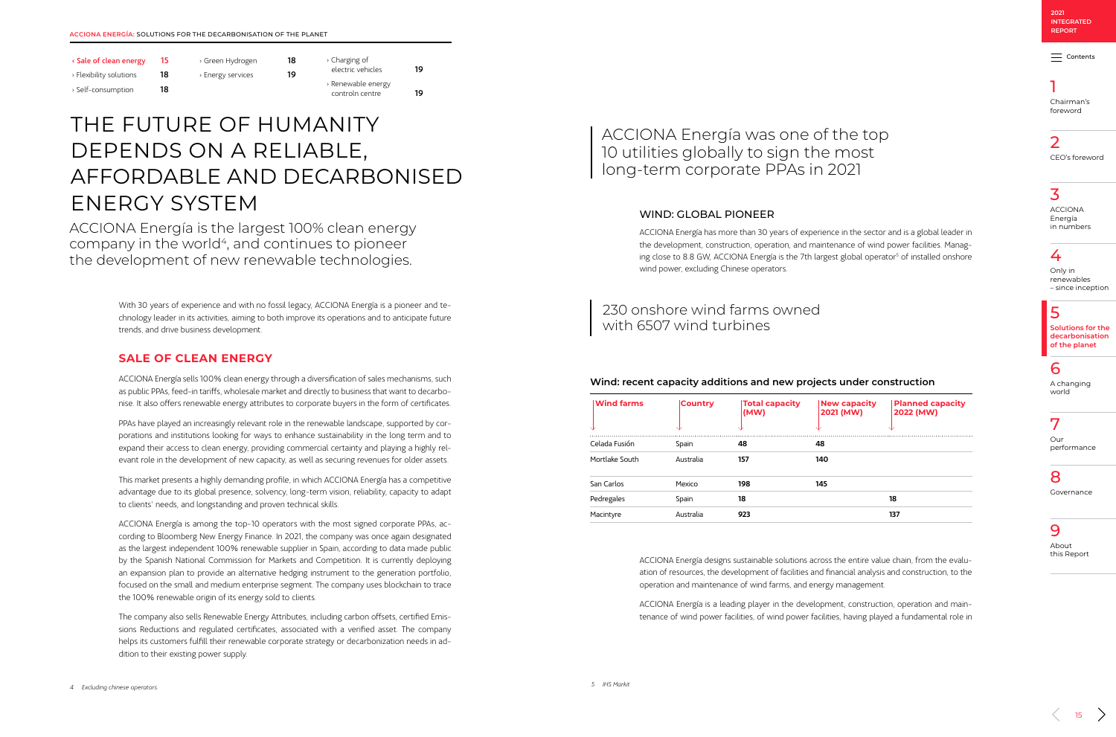$=$  [Contents](#page-1-0)

### 1

[Chairman's](#page-2-0)  foreword

2 [CEO's foreword](#page-3-0)

### 3

ACCIONA Energía [in numbers](#page-4-0)

### 4

Only in renewables [– since inception](#page-6-0)

### 5

**[Solutions for the](#page-11-0)  decarbonisation of the planet**

### 6

[A changing](#page-18-0)  world

7

Our [performance](#page-22-0)

#### 8

[Governance](#page-29-0)

#### 9

About [this Report](#page-34-0)

 $_{15}$  >

#### **SALE OF CLEAN ENERGY**

ACCIONA Energía sells 100% clean energy through a diversification of sales mechanisms, such as public PPAs, feed-in tariffs, wholesale market and directly to business that want to decarbonise. It also offers renewable energy attributes to corporate buyers in the form of certificates.

PPAs have played an increasingly relevant role in the renewable landscape, supported by corporations and institutions looking for ways to enhance sustainability in the long term and to expand their access to clean energy, providing commercial certainty and playing a highly relevant role in the development of new capacity, as well as securing revenues for older assets.

This market presents a highly demanding profile, in which ACCIONA Energía has a competitive advantage due to its global presence, solvency, long-term vision, reliability, capacity to adapt to clients' needs, and longstanding and proven technical skills.

ACCIONA Energía is among the top-10 operators with the most signed corporate PPAs, according to Bloomberg New Energy Finance. In 2021, the company was once again designated as the largest independent 100% renewable supplier in Spain, according to data made public by the Spanish National Commission for Markets and Competition. It is currently deploying an expansion plan to provide an alternative hedging instrument to the generation portfolio, focused on the small and medium enterprise segment. The company uses blockchain to trace the 100% renewable origin of its energy sold to clients.

The company also sells Renewable Energy Attributes, including carbon offsets, certified Emissions Reductions and regulated certificates, associated with a verified asset. The company helps its customers fulfill their renewable corporate strategy or decarbonization needs in addition to their existing power supply.

[› Renewable energy](#page-17-0) controln centre **19** 

#### WIND: GLOBAL PIONEER

ACCIONA Energía has more than 30 years of experience in the sector and is a global leader in the development, construction, operation, and maintenance of wind power facilities. Managing close to 8.8 GW, ACCIONA Energía is the 7th largest global operator<sup>5</sup> of installed onshore wind power, excluding Chinese operators.

With 30 years of experience and with no fossil legacy, ACCIONA Energía is a pioneer and technology leader in its activities, aiming to both improve its operations and to anticipate future trends, and drive business development.

### ACCIONA Energía was one of the top 10 utilities globally to sign the most long-term corporate PPAs in 2021

### 230 onshore wind farms owned with 6507 wind turbines

#### **Wind: recent capacity additions and new projects under construction**

| <b>Wind farms</b> | <b>Country</b> | <b>Total capacity</b><br>(MW) | <b>New capacity</b><br>2021 (MW) | <b>Planned capacity</b><br>2022 (MW) |
|-------------------|----------------|-------------------------------|----------------------------------|--------------------------------------|
| NZ                | Nz             |                               |                                  |                                      |
| Celada Fusión     | Spain          | 48                            | 48                               |                                      |
| Mortlake South    | Australia      | 157                           | 140                              |                                      |
| San Carlos        | Mexico         | 198                           | 145                              |                                      |
| Pedregales        | Spain          | 18                            |                                  | 18                                   |
| Macintyre         | Australia      | 923                           |                                  | 137                                  |

ACCIONA Energía designs sustainable solutions across the entire value chain, from the evaluation of resources, the development of facilities and financial analysis and construction, to the operation and maintenance of wind farms, and energy management.

ACCIONA Energía is a leading player in the development, construction, operation and maintenance of wind power facilities, of wind power facilities, having played a fundamental role in

## THE FUTURE OF HUMANITY DEPENDS ON A RELIABLE, AFFORDABLE AND DECARBONISED ENERGY SYSTEM

ACCIONA Energía is the largest 100% clean energy company in the world $4$ , and continues to pioneer the development of new renewable technologies.

<span id="page-13-0"></span>

| < Sale of clean energy  | 15 |
|-------------------------|----|
| > Flexibility solutions | 18 |

 $\rightarrow$  Self-consumption  $\rightarrow$  18

> Green Hydrogen 18 > Energy services 19 › Charging of

[electric vehicles](#page-17-0) **19**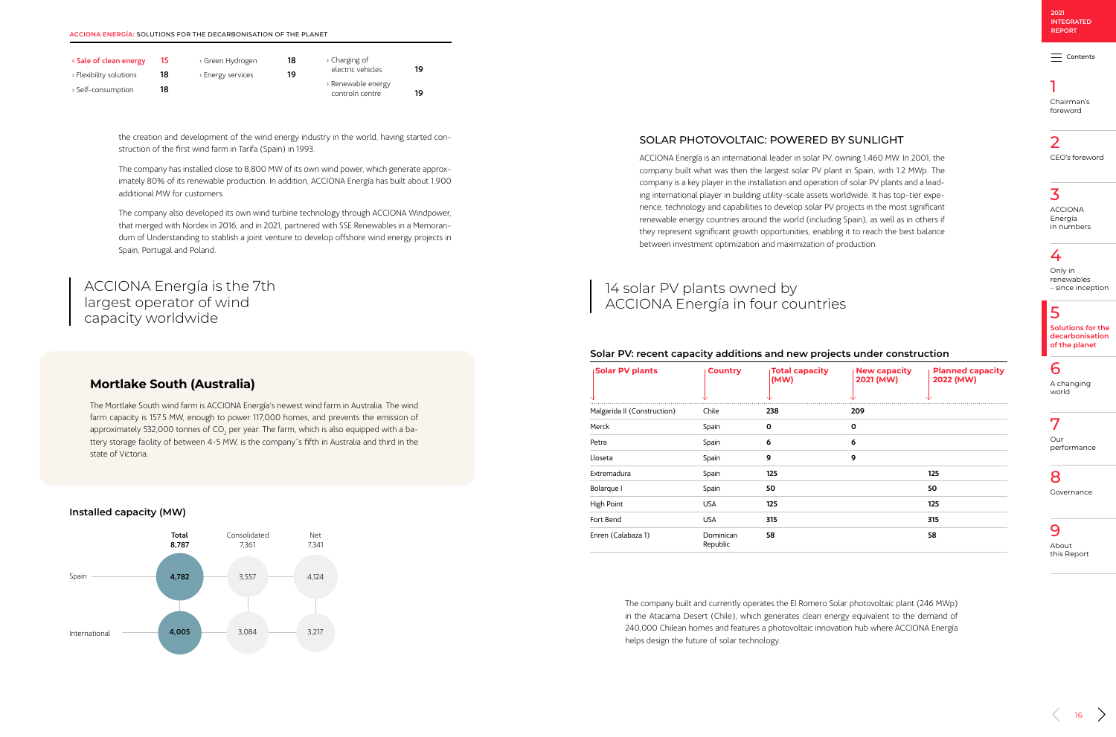$\equiv$  [Contents](#page-1-0)

### 1

[Chairman's](#page-2-0)  foreword

#### 2 [CEO's foreword](#page-3-0)

3 ACCIONA Energía [in numbers](#page-4-0)

### 4

Only in renewables [– since inception](#page-6-0)

#### 5

**[Solutions for the](#page-11-0)  decarbonisation of the planet**

### 6

[A changing](#page-18-0)  world

7 Our [performance](#page-22-0)

8

[Governance](#page-29-0)

9

About [this Report](#page-34-0)

 $\frac{16}{2}$ 

#### **Solar PV: recent capacity additions and new projects under construction**

| <b>Solar PV plants</b>      | <b>Country</b>        | <b>Total capacity</b><br>(MW) | <b>New capacity</b><br>2021 (MW) | <b>Planned capacity</b><br>2022 (MW) |
|-----------------------------|-----------------------|-------------------------------|----------------------------------|--------------------------------------|
|                             |                       |                               |                                  |                                      |
| Malgarida II (Construction) | Chile                 | 238                           | 209                              |                                      |
| Merck                       | Spain                 | 0                             | $\mathbf{o}$                     |                                      |
| Petra                       | Spain                 | 6                             | 6                                |                                      |
| Lloseta                     | Spain                 | 9                             | 9                                |                                      |
| Extremadura                 | Spain                 | 125                           |                                  | 125                                  |
| Bolarque I                  | Spain                 | 50                            |                                  | 50                                   |
| <b>High Point</b>           | <b>USA</b>            | 125                           |                                  | 125                                  |
| Fort Bend                   | <b>USA</b>            | 315                           |                                  | 315                                  |
| Enren (Calabaza 1)          | Dominican<br>Republic | 58                            |                                  | 58                                   |

#### **Mortlake South (Australia)**

The Mortlake South wind farm is ACCIONA Energía's newest wind farm in Australia. The wind farm capacity is 157.5 MW, enough to power 117,000 homes, and prevents the emission of approximately 532,000 tonnes of CO<sub>2</sub> per year. The farm, which is also equipped with a battery storage facility of between 4-5 MW, is the company´s fifth in Australia and third in the state of Victoria.

the creation and development of the wind energy industry in the world, having started construction of the first wind farm in Tarifa (Spain) in 1993.

The company has installed close to 8,800 MW of its own wind power, which generate approximately 80% of its renewable production. In addition, ACCIONA Energía has built about 1,900 additional MW for customers.

The company also developed its own wind turbine technology through ACCIONA Windpower, that merged with Nordex in 2016, and in 2021, partnered with SSE Renewables in a Memorandum of Understanding to stablish a joint venture to develop offshore wind energy projects in Spain, Portugal and Poland.

### 14 solar PV plants owned by ACCIONA Energía in four countries

ACCIONA Energía is the 7th largest operator of wind capacity worldwide

#### SOLAR PHOTOVOLTAIC: POWERED BY SUNLIGHT

ACCIONA Energía is an international leader in solar PV, owning 1,460 MW. In 2001, the company built what was then the largest solar PV plant in Spain, with 1.2 MWp. The company is a key player in the installation and operation of solar PV plants and a leading international player in building utility-scale assets worldwide. It has top-tier experience, technology and capabilities to develop solar PV projects in the most significant renewable energy countries around the world (including Spain), as well as in others if they represent significant growth opportunities, enabling it to reach the best balance between investment optimization and maximization of production.



#### **Installed capacity (MW)**

The company built and currently operates the El Romero Solar photovoltaic plant (246 MWp) in the Atacama Desert (Chile), which generates clean energy equivalent to the demand of 240,000 Chilean homes and features a photovoltaic innovation hub where ACCIONA Energía helps design the future of solar technology.

| < Sale of clean energy  | 15 | > Green Hydrogen  | 18 | $\rightarrow$ Charging of             |    |
|-------------------------|----|-------------------|----|---------------------------------------|----|
| > Flexibility solutions | 18 | > Energy services | 19 | electric vehicles                     | 19 |
| > Self-consumption      | 18 |                   |    | > Renewable energy<br>controln centre | 19 |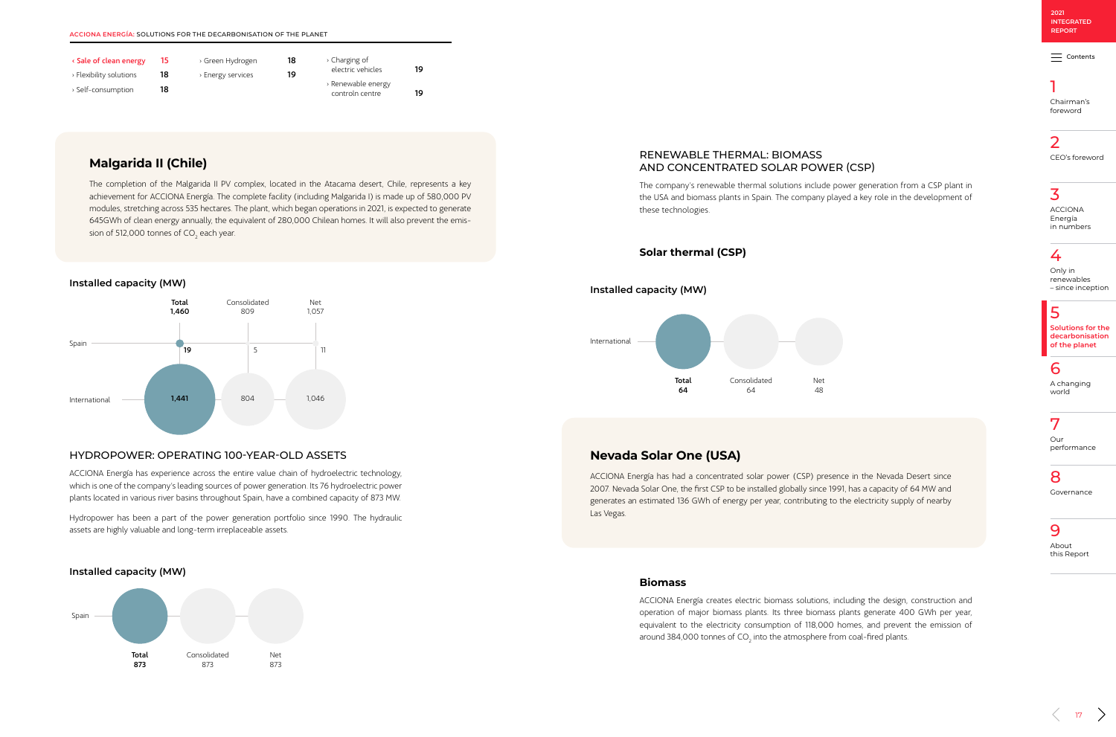$\equiv$  [Contents](#page-1-0)

### 1

[Chairman's](#page-2-0)  foreword

#### 2 [CEO's foreword](#page-3-0)

3

ACCIONA Energía [in numbers](#page-4-0)

### 4

Only in renewables [– since inception](#page-6-0)

#### 5

**[Solutions for the](#page-11-0)  decarbonisation of the planet**

### 6

[A changing](#page-18-0)  world

7 Our [performance](#page-22-0)

8 [Governance](#page-29-0)

### 9

About [this Report](#page-34-0)

 $_{17}$  >

#### HYDROPOWER: OPERATING 100-YEAR-OLD ASSETS

ACCIONA Energía has experience across the entire value chain of hydroelectric technology, which is one of the company's leading sources of power generation. Its 76 hydroelectric power plants located in various river basins throughout Spain, have a combined capacity of 873 MW.

The completion of the Malgarida II PV complex, located in the Atacama desert, Chile, represents a key achievement for ACCIONA Energía. The complete facility (including Malgarida I) is made up of 580,000 PV modules, stretching across 535 hectares. The plant, which began operations in 2021, is expected to generate 645GWh of clean energy annually, the equivalent of 280,000 Chilean homes. It will also prevent the emission of 512,000 tonnes of CO<sub>2</sub> each year.

Hydropower has been a part of the power generation portfolio since 1990. The hydraulic assets are highly valuable and long-term irreplaceable assets.

#### RENEWABLE THERMAL: BIOMASS AND CONCENTRATED SOLAR POWER (CSP)

The company's renewable thermal solutions include power generation from a CSP plant in the USA and biomass plants in Spain. The company played a key role in the development of these technologies.

#### **Installed capacity (MW)**



ACCIONA Energía creates electric biomass solutions, including the design, construction and operation of major biomass plants. Its three biomass plants generate 400 GWh per year, equivalent to the electricity consumption of 118,000 homes, and prevent the emission of around 384,000 tonnes of CO<sub>2</sub> into the atmosphere from coal-fired plants.

#### **Malgarida II (Chile)**



#### **Installed capacity (MW)**

#### **Solar thermal (CSP)**

#### **Installed capacity (MW)**





#### **Nevada Solar One (USA)**

ACCIONA Energía has had a concentrated solar power (CSP) presence in the Nevada Desert since 2007. Nevada Solar One, the first CSP to be installed globally since 1991, has a capacity of 64 MW and generates an estimated 136 GWh of energy per year, contributing to the electricity supply of nearby Las Vegas.



#### **Biomass**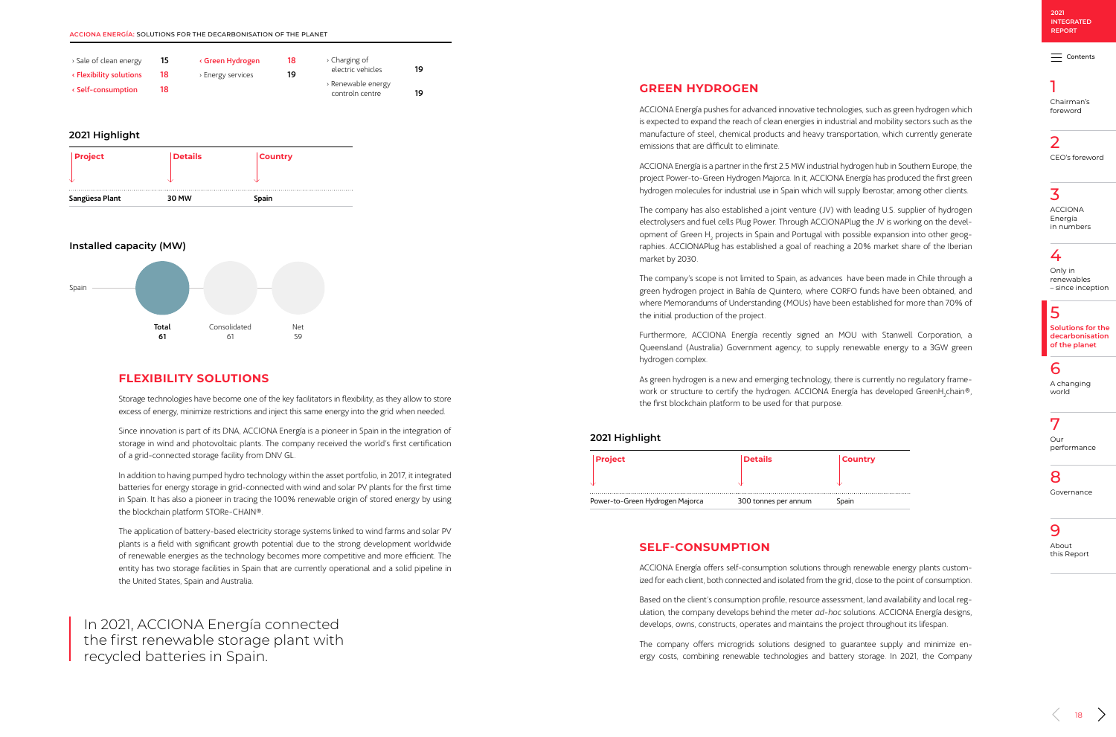18

**2021 [INTEGRATED](#page-0-0)  REPORT**

 $=$  [Contents](#page-1-0)

## 1

[Chairman's](#page-2-0)  foreword

2 [CEO's foreword](#page-3-0)

3 ACCIONA Energía [in numbers](#page-4-0)

### 4

Only in renewables [– since inception](#page-6-0)

### 5

**[Solutions for the](#page-11-0)  decarbonisation of the planet**

### 6

[A changing](#page-18-0)  world

7 Our [performance](#page-22-0)

### 8

[Governance](#page-29-0)

#### 9

About [this Report](#page-34-0)

<span id="page-16-0"></span>**ACCIONA ENERGÍA:** SOLUTIONS FOR THE DECARBONISATION OF THE PLANET

#### **GREEN HYDROGEN**

ACCIONA Energía pushes for advanced innovative technologies, such as green hydrogen which is expected to expand the reach of clean energies in industrial and mobility sectors such as the manufacture of steel, chemical products and heavy transportation, which currently generate emissions that are difficult to eliminate.

ACCIONA Energía is a partner in the first 2.5 MW industrial hydrogen hub in Southern Europe, the project Power-to-Green Hydrogen Majorca. In it, ACCIONA Energía has produced the first green hydrogen molecules for industrial use in Spain which will supply Iberostar, among other clients.

The company has also established a joint venture (JV) with leading U.S. supplier of hydrogen electrolysers and fuel cells Plug Power. Through ACCIONAPlug the JV is working on the development of Green  $H_2$  projects in Spain and Portugal with possible expansion into other geographies. ACCIONAPlug has established a goal of reaching a 20% market share of the Iberian market by 2030.

The company's scope is not limited to Spain, as advances have been made in Chile through a green hydrogen project in Bahía de Quintero, where CORFO funds have been obtained, and where Memorandums of Understanding (MOUs) have been established for more than 70% of the initial production of the project.

Furthermore, ACCIONA Energía recently signed an MOU with Stanwell Corporation, a Queensland (Australia) Government agency, to supply renewable energy to a 3GW green hydrogen complex.

As green hydrogen is a new and emerging technology, there is currently no regulatory framework or structure to certify the hydrogen. ACCIONA Energía has developed GreenH<sub>2</sub>chain®, the first blockchain platform to be used for that purpose.

#### **FLEXIBILITY SOLUTIONS**

Storage technologies have become one of the key facilitators in flexibility, as they allow to store excess of energy, minimize restrictions and inject this same energy into the grid when needed.

Since innovation is part of its DNA, ACCIONA Energía is a pioneer in Spain in the integration of storage in wind and photovoltaic plants. The company received the world's first certification of a grid-connected storage facility from DNV GL.

In addition to having pumped hydro technology within the asset portfolio, in 2017, it integrated batteries for energy storage in grid-connected with wind and solar PV plants for the first time in Spain. It has also a pioneer in tracing the 100% renewable origin of stored energy by using the blockchain platform STORe-CHAIN®.

The application of battery-based electricity storage systems linked to wind farms and solar PV plants is a field with significant growth potential due to the strong development worldwide of renewable energies as the technology becomes more competitive and more efficient. The entity has two storage facilities in Spain that are currently operational and a solid pipeline in the United States, Spain and Australia.

In 2021, ACCIONA Energía connected the first renewable storage plant with recycled batteries in Spain.

#### **2021 Highlight**



#### **SELF-CONSUMPTION**

ACCIONA Energía offers self-consumption solutions through renewable energy plants customized for each client, both connected and isolated from the grid, close to the point of consumption.

Based on the client's consumption profile, resource assessment, land availability and local regulation, the company develops behind the meter *ad-hoc* solutions. ACCIONA Energía designs, develops, owns, constructs, operates and maintains the project throughout its lifespan.

The company offers microgrids solutions designed to guarantee supply and minimize energy costs, combining renewable technologies and battery storage. In 2021, the Company



| > Sale of clean energy                                                                                                                | 15 | < Green Hydrogen  | 18 | $\rightarrow$ Charging of<br>electric vehicles |  |
|---------------------------------------------------------------------------------------------------------------------------------------|----|-------------------|----|------------------------------------------------|--|
| ← Flexibility solutions                                                                                                               | 18 | > Energy services | 19 |                                                |  |
| <self-consumption< td=""><td>18</td><td></td><td></td><td>&gt; Renewable energy<br/>controln centre</td><td></td></self-consumption<> | 18 |                   |    | > Renewable energy<br>controln centre          |  |

#### **2021 Highlight**

| <b>Project</b> | <b>Details</b> | <b>Country</b> |  |
|----------------|----------------|----------------|--|
|                |                |                |  |
| Sangüesa Plant | 30 MW          | <b>Spain</b>   |  |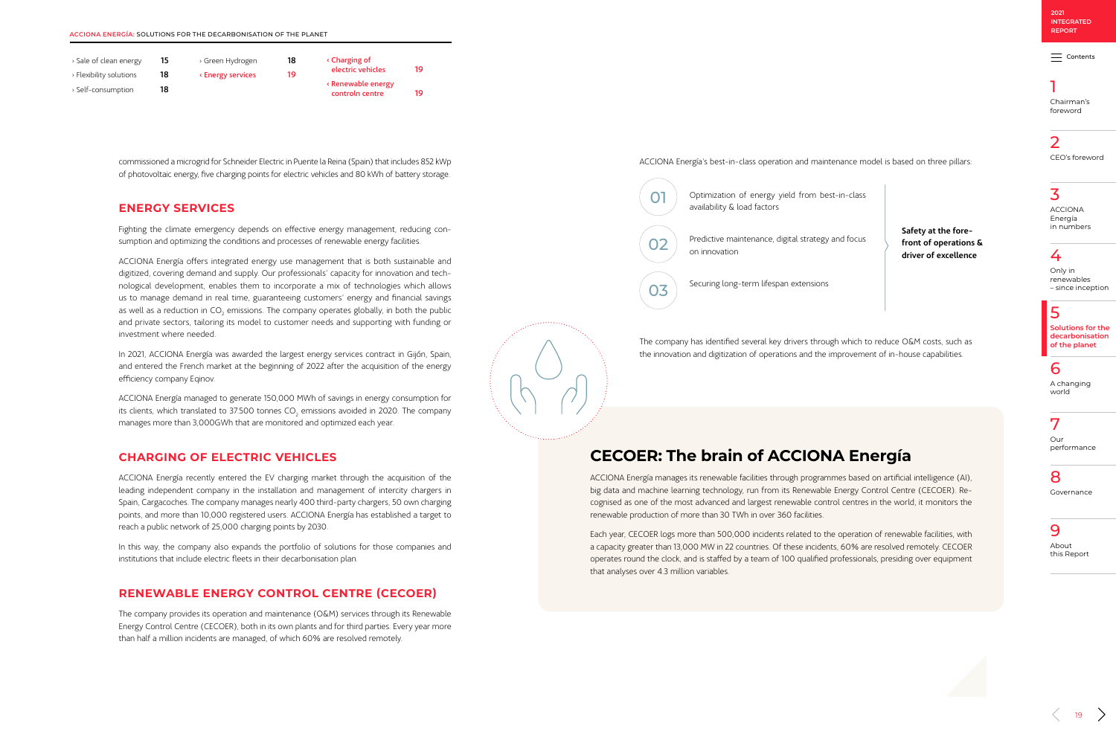$=$  [Contents](#page-1-0)

1 [Chairman's](#page-2-0)  foreword

2

[CEO's foreword](#page-3-0)

3 ACCIONA Energía [in numbers](#page-4-0)

### 4

Only in renewables [– since inception](#page-6-0)

### 5

**[Solutions for the](#page-11-0)  decarbonisation of the planet**

### 6

[A changing](#page-18-0)  world

7 Our [performance](#page-22-0)

#### 8

[Governance](#page-29-0)

9

About [this Report](#page-34-0)

<span id="page-17-0"></span>**ACCIONA ENERGÍA:** SOLUTIONS FOR THE DECARBONISATION OF THE PLANET

commissioned a microgrid for Schneider Electric in Puente la Reina (Spain) that includes 852 kWp of photovoltaic energy, five charging points for electric vehicles and 80 kWh of battery storage.

#### **ENERGY SERVICES**

Fighting the climate emergency depends on effective energy management, reducing consumption and optimizing the conditions and processes of renewable energy facilities.

ACCIONA Energía offers integrated energy use management that is both sustainable and digitized, covering demand and supply. Our professionals' capacity for innovation and technological development, enables them to incorporate a mix of technologies which allows us to manage demand in real time, guaranteeing customers' energy and financial savings as well as a reduction in CO<sub>2</sub> emissions. The company operates globally, in both the public and private sectors, tailoring its model to customer needs and supporting with funding or investment where needed.

In 2021, ACCIONA Energía was awarded the largest energy services contract in Gijón, Spain, and entered the French market at the beginning of 2022 after the acquisition of the energy efficiency company Eqinov.

ACCIONA Energía managed to generate 150,000 MWh of savings in energy consumption for its clients, which translated to 37.500 tonnes CO<sub>2</sub> emissions avoided in 2020. The company manages more than 3,000GWh that are monitored and optimized each year.

#### **CHARGING OF ELECTRIC VEHICLES**

ACCIONA Energía recently entered the EV charging market through the acquisition of the leading independent company in the installation and management of intercity chargers in Spain, Cargacoches. The company manages nearly 400 third-party chargers, 50 own charging points, and more than 10,000 registered users. ACCIONA Energía has established a target to reach a public network of 25,000 charging points by 2030.

In this way, the company also expands the portfolio of solutions for those companies and institutions that include electric fleets in their decarbonisation plan.

#### **RENEWABLE ENERGY CONTROL CENTRE (CECOER)**

The company provides its operation and maintenance (O&M) services through its Renewable Energy Control Centre (CECOER), both in its own plants and for third parties. Every year more than half a million incidents are managed, of which 60% are resolved remotely.



ACCIONA Energía's best-in-class operation and maintenance model is based on three pillars:



**Safety at the forefront of operations & driver of excellence**

The company has identified several key drivers through which to reduce O&M costs, such as the innovation and digitization of operations and the improvement of in-house capabilities.

### **CECOER: The brain of ACCIONA Energía**

ACCIONA Energía manages its renewable facilities through programmes based on artificial intelligence (AI), big data and machine learning technology, run from its Renewable Energy Control Centre (CECOER). Recognised as one of the most advanced and largest renewable control centres in the world, it monitors the renewable production of more than 30 TWh in over 360 facilities.

Each year, CECOER logs more than 500,000 incidents related to the operation of renewable facilities, with a capacity greater than 13,000 MW in 22 countries. Of these incidents, 60% are resolved remotely. CECOER operates round the clock, and is staffed by a team of 100 qualified professionals, presiding over equipment that analyses over 4.3 million variables.

| > Sale of clean energy  | 15 | > Green Hydrogen       | 18 | $\triangle$ Charging of               |    |
|-------------------------|----|------------------------|----|---------------------------------------|----|
| > Flexibility solutions | 18 | <b>Energy services</b> | 19 | electric vehicles                     | 19 |
| > Self-consumption      | 18 |                        |    | « Renewable energy<br>controln centre | 19 |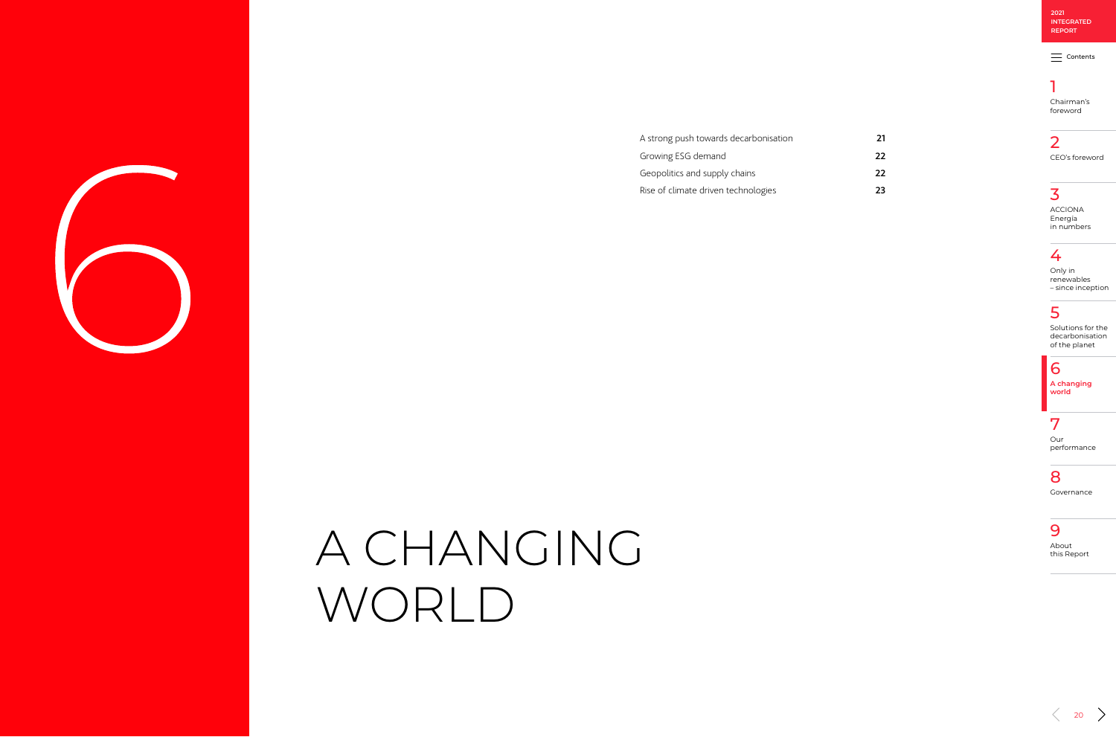<span id="page-18-0"></span>

[A strong push towards decarbonisation](#page-19-0)[Growing ESG demand](#page-20-0) [Geopolitics and supply chains](#page-20-0) **22**[Rise of climate driven technologies](#page-21-0) 

**2021 [INTEGRATED](#page-0-0)  REPORT**

 $\equiv$  [Contents](#page-1-0)

### 1

[Chairman's](#page-2-0)  foreword

#### 2 [CEO's foreword](#page-3-0)

3

ACCIONA Energía [in numbers](#page-4-0)

### 4

Only in renewables [– since inception](#page-6-0)

### 5

[Solutions for the](#page-11-0)  decarbonisation of the planet

### 6

**A changing world**

### 7

Our [performance](#page-22-0)

### 8

[Governance](#page-29-0)

#### 9

About [this Report](#page-34-0)

 $\langle 20 \rangle$ 

# A CHANGING WORLD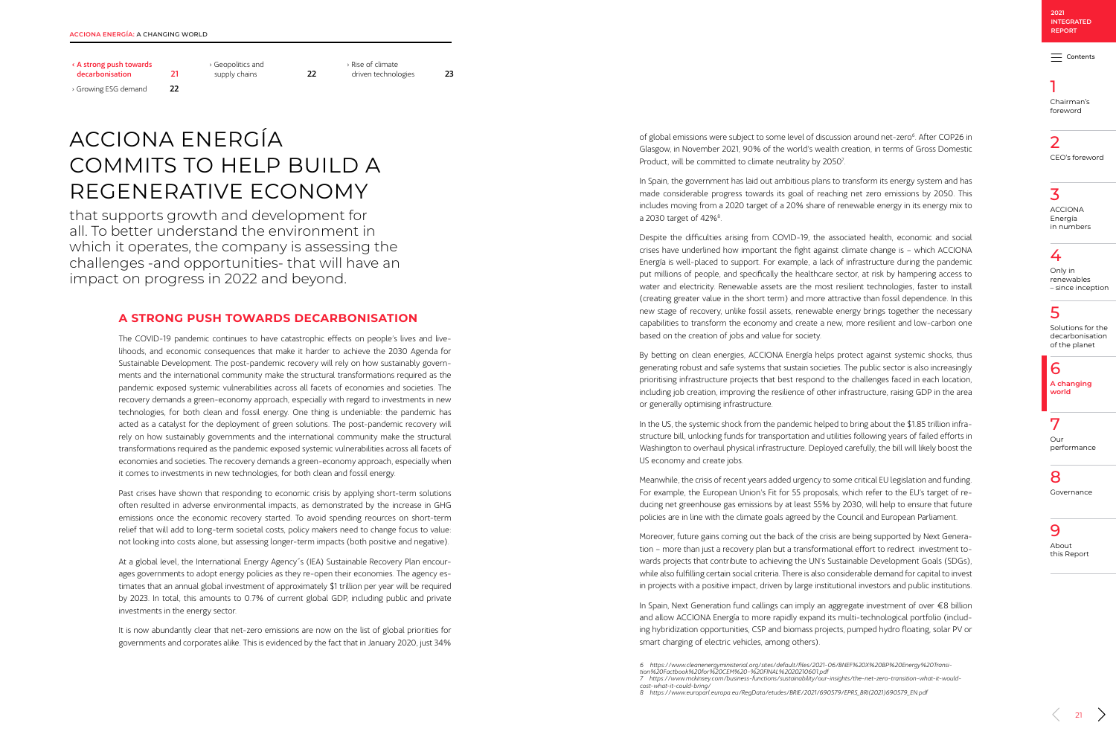$=$  [Contents](#page-1-0)

### 1

[Chairman's](#page-2-0)  foreword

2 [CEO's foreword](#page-3-0)

3 ACCIONA Energía [in numbers](#page-4-0)

#### 4

Only in renewables [– since inception](#page-6-0)

#### 5

<span id="page-19-0"></span>‹ A strong push towards decarbonisation 21

> [Solutions for the](#page-11-0)  decarbonisation of the planet

[› Geopolitics and](#page-20-0)  supply chains 22

### 6

› Rise of climate [driven technologies](#page-21-0) 23

 $\rightarrow$  Growing ESG demand 22

**[A changing](#page-18-0)  world**

7 Our [performance](#page-22-0)

#### 8

[Governance](#page-29-0)

#### 9

About [this Report](#page-34-0)

 $21$ 

#### **A STRONG PUSH TOWARDS DECARBONISATION**

The COVID-19 pandemic continues to have catastrophic effects on people's lives and live lihoods, and economic consequences that make it harder to achieve the 2030 Agenda for Sustainable Development. The post-pandemic recovery will rely on how sustainably govern ments and the international community make the structural transformations required as the pandemic exposed systemic vulnerabilities across all facets of economies and societies. The recovery demands a green-economy approach, especially with regard to investments in new technologies, for both clean and fossil energy. One thing is undeniable: the pandemic has acted as a catalyst for the deployment of green solutions. The post-pandemic recovery will rely on how sustainably governments and the international community make the structural transformations required as the pandemic exposed systemic vulnerabilities across all facets of economies and societies. The recovery demands a green-economy approach, especially when it comes to investments in new technologies, for both clean and fossil energy.

of global emissions were subject to some level of discussion around net-zero 6 . After COP26 in Glasgow, in November 2021, 90% of the world's wealth creation, in terms of Gross Domestic Product, will be committed to climate neutrality by 20507.

In Spain, the government has laid out ambitious plans to transform its energy system and has made considerable progress towards its goal of reaching net zero emissions by 2050. This includes moving from a 2020 target of a 20% share of renewable energy in its energy mix to a 2030 target of 42%<sup>8</sup>.

Past crises have shown that responding to economic crisis by applying short-term solutions often resulted in adverse environmental impacts, as demonstrated by the increase in GHG emissions once the economic recovery started. To avoid spending reources on short-term relief that will add to long-term societal costs, policy makers need to change focus to value: not looking into costs alone, but assessing longer-term impacts (both positive and negative).

At a global level, the International Energy Agency´s (IEA) Sustainable Recovery Plan encour ages governments to adopt energy policies as they re-open their economies. The agency es timates that an annual global investment of approximately \$1 trillion per year will be required by 2023. In total, this amounts to 0.7% of current global GDP, including public and private investments in the energy sector.

It is now abundantly clear that net-zero emissions are now on the list of global priorities for governments and corporates alike. This is evidenced by the fact that in January 2020, just 34% Despite the difficulties arising from COVID-19, the associated health, economic and social crises have underlined how important the fight against climate change is – which ACCIONA Energía is well-placed to support. For example, a lack of infrastructure during the pandemic put millions of people, and specifically the healthcare sector, at risk by hampering access to water and electricity. Renewable assets are the most resilient technologies, faster to install (creating greater value in the short term) and more attractive than fossil dependence. In this new stage of recovery, unlike fossil assets, renewable energy brings together the necessary capabilities to transform the economy and create a new, more resilient and low-carbon one based on the creation of jobs and value for society.

By betting on clean energies, ACCIONA Energía helps protect against systemic shocks, thus generating robust and safe systems that sustain societies. The public sector is also increasingly prioritising infrastructure projects that best respond to the challenges faced in each location, including job creation, improving the resilience of other infrastructure, raising GDP in the area or generally optimising infrastructure.

In the US, the systemic shock from the pandemic helped to bring about the \$1.85 trillion infra structure bill, unlocking funds for transportation and utilities following years of failed efforts in Washington to overhaul physical infrastructure. Deployed carefully, the bill will likely boost the US economy and create jobs.

Meanwhile, the crisis of recent years added urgency to some critical EU legislation and funding. For example, the European Union's Fit for 55 proposals, which refer to the EU's target of re ducing net greenhouse gas emissions by at least 55% by 2030, will help to ensure that future policies are in line with the climate goals agreed by the Council and European Parliament.

Moreover, future gains coming out the back of the crisis are being supported by Next Genera tion – more than just a recovery plan but a transformational effort to redirect investment to wards projects that contribute to achieving the UN's Sustainable Development Goals (SDGs), while also fulfilling certain social criteria. There is also considerable demand for capital to invest in projects with a positive impact, driven by large institutional investors and public institutions.

In Spain, Next Generation fund callings can imply an aggregate investment of over €8 billion and allow ACCIONA Energía to more rapidly expand its multi-technological portfolio (includ ing hybridization opportunities, CSP and biomass projects, pumped hydro floating, solar PV or smart charging of electric vehicles, among others).

## ACCIONA ENERGÍA COMMITS TO HELP BUILD A REGENERATIVE ECONOMY

*6 [https://www.cleanenergyministerial.org/sites/default/files/2021-06/BNEF%20X%20BP%20Energy%20Transi](https://www.cleanenergyministerial.org/sites/default/files/2021-06/BNEF%20X%20BP%20Energy%20Transition%20Factbook%20for%20CEM%20-%20FINAL%2020210601.pdf) - 7 https://www.mckinsey.com/business-functions/sustainability/our-insights/the-net-zero-transition-what-it-would -*

that supports growth and development for all. To better understand the environment in which it operates, the company is assessing the challenges -and opportunities- that will have an impact on progress in 2022 and beyond.

*[tion%20Factbook%20for%20CEM%20-%20FINAL%2020210601.pdf](https://www.cleanenergyministerial.org/sites/default/files/2021-06/BNEF%20X%20BP%20Energy%20Transition%20Factbook%20for%20CEM%20-%20FINAL%2020210601.pdf) cost-what-it-could-bring/*

*<sup>8</sup> https://www.europarl.europa.eu/RegData/etudes/BRIE/2021/690579/EPRS\_BRI(2021)690579\_EN.pdf*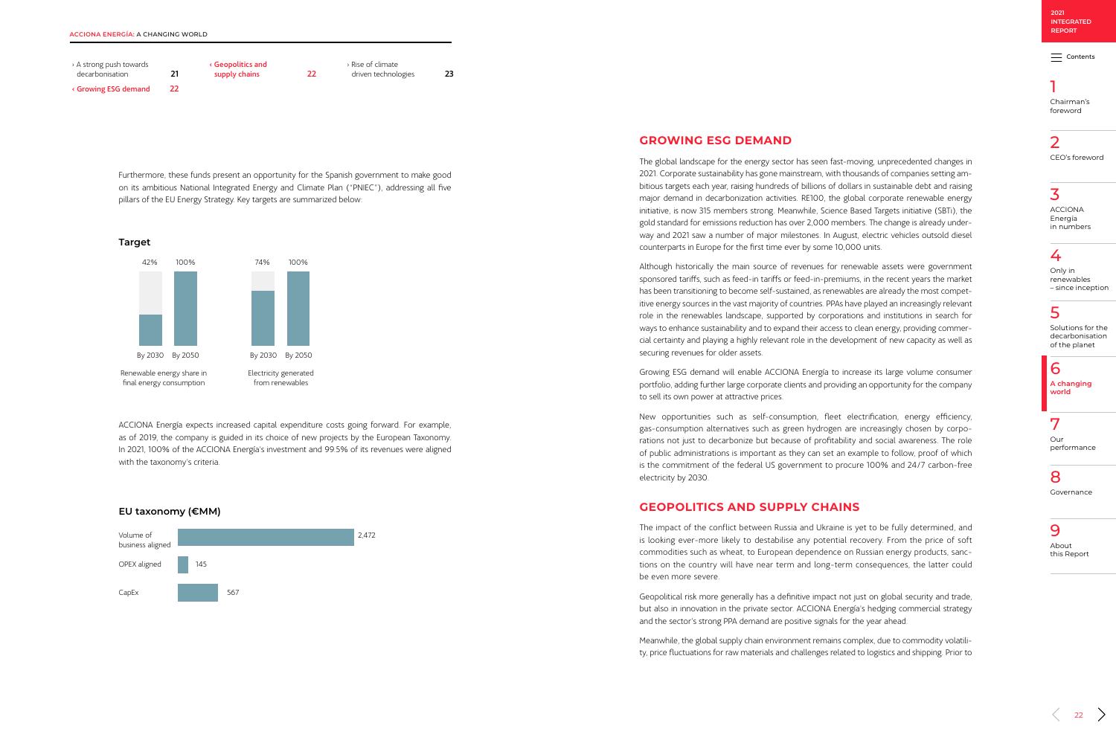$\equiv$  [Contents](#page-1-0)

### 1

[Chairman's](#page-2-0)  foreword

#### 2 [CEO's foreword](#page-3-0)

3 ACCIONA Energía [in numbers](#page-4-0)

### 4

Only in renewables [– since inception](#page-6-0)

### 5

[Solutions for the](#page-11-0)  decarbonisation of the planet

#### 6 **[A changing](#page-18-0)**

**world**

7 Our [performance](#page-22-0)

#### 8

[Governance](#page-29-0)

#### 9

About [this Report](#page-34-0)

 $22$ 

<span id="page-20-0"></span>

### **GROWING ESG DEMAND**

The global landscape for the energy sector has seen fast-moving, unprecedented changes in 2021. Corporate sustainability has gone mainstream, with thousands of companies setting ambitious targets each year, raising hundreds of billions of dollars in sustainable debt and raising major demand in decarbonization activities. RE100, the global corporate renewable energy initiative, is now 315 members strong. Meanwhile, Science Based Targets initiative (SBTi), the gold standard for emissions reduction has over 2,000 members. The change is already underway and 2021 saw a number of major milestones. In August, electric vehicles outsold diesel counterparts in Europe for the first time ever by some 10,000 units.

Although historically the main source of revenues for renewable assets were government sponsored tariffs, such as feed-in tariffs or feed-in-premiums, in the recent years the market has been transitioning to become self-sustained, as renewables are already the most competitive energy sources in the vast majority of countries. PPAs have played an increasingly relevant role in the renewables landscape, supported by corporations and institutions in search for ways to enhance sustainability and to expand their access to clean energy, providing commercial certainty and playing a highly relevant role in the development of new capacity as well as securing revenues for older assets.

Growing ESG demand will enable ACCIONA Energía to increase its large volume consumer portfolio, adding further large corporate clients and providing an opportunity for the company to sell its own power at attractive prices.

New opportunities such as self-consumption, fleet electrification, energy efficiency, gas-consumption alternatives such as green hydrogen are increasingly chosen by corporations not just to decarbonize but because of profitability and social awareness. The role of public administrations is important as they can set an example to follow, proof of which is the commitment of the federal US government to procure 100% and 24/7 carbon-free electricity by 2030.

#### **GEOPOLITICS AND SUPPLY CHAINS**

The impact of the conflict between Russia and Ukraine is yet to be fully determined, and is looking ever-more likely to destabilise any potential recovery. From the price of soft commodities such as wheat, to European dependence on Russian energy products, sanctions on the country will have near term and long-term consequences, the latter could be even more severe.

Geopolitical risk more generally has a definitive impact not just on global security and trade, but also in innovation in the private sector. ACCIONA Energía's hedging commercial strategy and the sector's strong PPA demand are positive signals for the year ahead.

Meanwhile, the global supply chain environment remains complex, due to commodity volatility, price fluctuations for raw materials and challenges related to logistics and shipping. Prior to

ACCIONA Energía expects increased capital expenditure costs going forward. For example, as of 2019, the company is guided in its choice of new projects by the European Taxonomy. In 2021, 100% of the ACCIONA Energía's investment and 99.5% of its revenues were aligned with the taxonomy's criteria.

Furthermore, these funds present an opportunity for the Spanish government to make good on its ambitious National Integrated Energy and Climate Plan ("PNIEC"), addressing all five pillars of the EU Energy Strategy. Key targets are summarized below:

#### **EU taxonomy (€MM)**





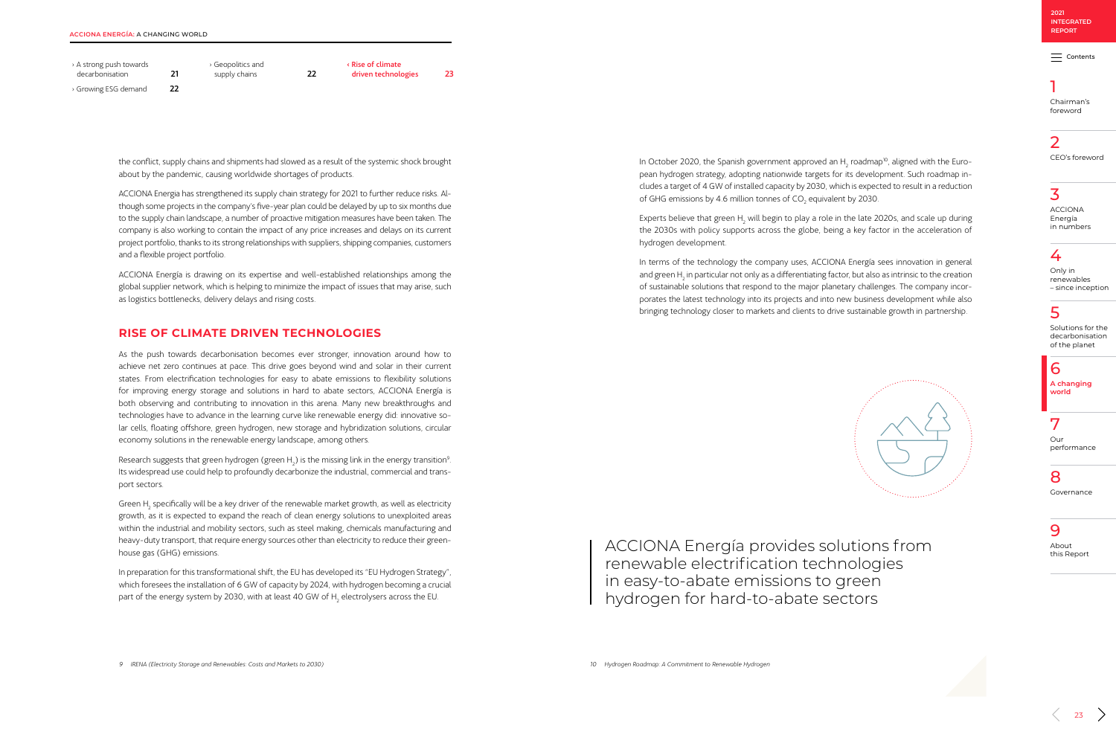

 $=$  [Contents](#page-1-0)

### 1

[Chairman's](#page-2-0)  foreword

#### 2 [CEO's foreword](#page-3-0)

3 ACCIONA Energía [in numbers](#page-4-0)

### 4

Only in renewables [– since inception](#page-6-0)

#### 5

[Solutions for the](#page-11-0)  decarbonisation of the planet

### 6

**[A changing](#page-18-0)  world**

7

Our [performance](#page-22-0)

#### 8

[Governance](#page-29-0)

#### 9

About [this Report](#page-34-0)





<span id="page-21-0"></span>

the conflict, supply chains and shipments had slowed as a result of the systemic shock brought about by the pandemic, causing worldwide shortages of products.

ACCIONA Energia has strengthened its supply chain strategy for 2021 to further reduce risks. Although some projects in the company's five-year plan could be delayed by up to six months due to the supply chain landscape, a number of proactive mitigation measures have been taken. The company is also working to contain the impact of any price increases and delays on its current project portfolio, thanks to its strong relationships with suppliers, shipping companies, customers and a flexible project portfolio.

Research suggests that green hydrogen (green  $H_2$ ) is the missing link in the energy transition<sup>9</sup>. Its widespread use could help to profoundly decarbonize the industrial, commercial and transport sectors.

ACCIONA Energía is drawing on its expertise and well-established relationships among the global supplier network, which is helping to minimize the impact of issues that may arise, such as logistics bottlenecks, delivery delays and rising costs.

Green H<sub>2</sub> specifically will be a key driver of the renewable market growth, as well as electricity growth, as it is expected to expand the reach of clean energy solutions to unexploited areas within the industrial and mobility sectors, such as steel making, chemicals manufacturing and heavy-duty transport, that require energy sources other than electricity to reduce their greenhouse gas (GHG) emissions.

In preparation for this transformational shift, the EU has developed its "EU Hydrogen Strategy", which foresees the installation of 6 GW of capacity by 2024, with hydrogen becoming a crucial part of the energy system by 2030, with at least 40 GW of H<sub>2</sub> electrolysers across the EU.

In October 2020, the Spanish government approved an  $H_2$  roadmap<sup>10</sup>, aligned with the European hydrogen strategy, adopting nationwide targets for its development. Such roadmap includes a target of 4 GW of installed capacity by 2030, which is expected to result in a reduction of GHG emissions by 4.6 million tonnes of  $\mathrm{CO}_2$  equivalent by 2030.

#### **RISE OF CLIMATE DRIVEN TECHNOLOGIES**

As the push towards decarbonisation becomes ever stronger, innovation around how to achieve net zero continues at pace. This drive goes beyond wind and solar in their current states. From electrification technologies for easy to abate emissions to flexibility solutions for improving energy storage and solutions in hard to abate sectors, ACCIONA Energía is both observing and contributing to innovation in this arena. Many new breakthroughs and technologies have to advance in the learning curve like renewable energy did: innovative solar cells, floating offshore, green hydrogen, new storage and hybridization solutions, circular economy solutions in the renewable energy landscape, among others.

Experts believe that green H<sub>2</sub> will begin to play a role in the late 2020s, and scale up during the 2030s with policy supports across the globe, being a key factor in the acceleration of hydrogen development.

In terms of the technology the company uses, ACCIONA Energía sees innovation in general and green  ${\sf H_2}$  in particular not only as a differentiating factor, but also as intrinsic to the creation of sustainable solutions that respond to the major planetary challenges. The company incorporates the latest technology into its projects and into new business development while also bringing technology closer to markets and clients to drive sustainable growth in partnership.

ACCIONA Energía provides solutions from renewable electrification technologies in easy-to-abate emissions to green hydrogen for hard-to-abate sectors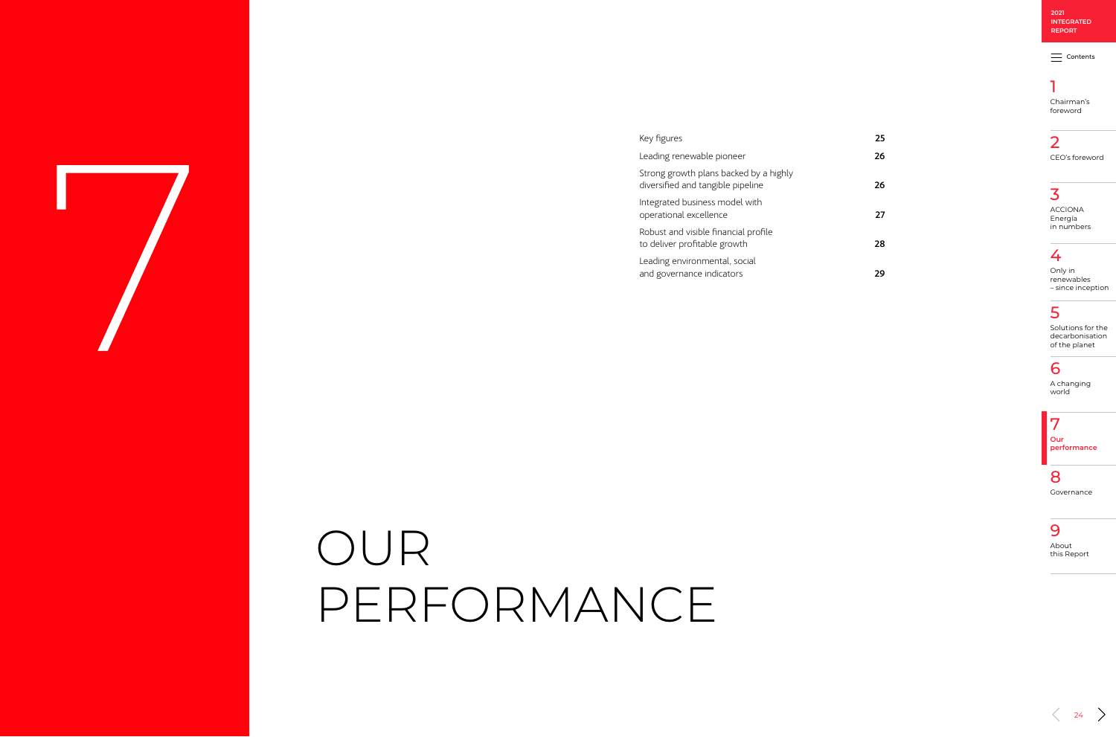<span id="page-22-0"></span>

#### [Key figures](#page-23-0) 25

[Leading renewable pioneer](#page-24-0) and the control of the 26

24

**2021 [INTEGRATED](#page-0-0)  REPORT**

 $\equiv$  [Contents](#page-1-0)

### 1

[Chairman's](#page-2-0)  foreword

#### 2 [CEO's foreword](#page-3-0)

### 3

ACCIONA Energía [in numbers](#page-4-0)

### 4

Only in renewables [– since inception](#page-6-0)

### 5

[Strong growth plans backed by a highly](#page-24-0)  diversified and tangible pipeline 26

> [Solutions for the](#page-11-0)  decarbonisation of the planet

[Integrated business model with](#page-25-0)  operational excellence 27

#### 6

[A changing](#page-18-0)  world

[Robust and visible financial profile](#page-26-0)  to deliver profitable growth **28** 

> 7 **Our performance**

#### 8

[Governance](#page-29-0)

[Leading environmental, social](#page-27-0)  and governance indicators **29** 

#### 9

About [this Report](#page-34-0)

# OUR PERFORMANCE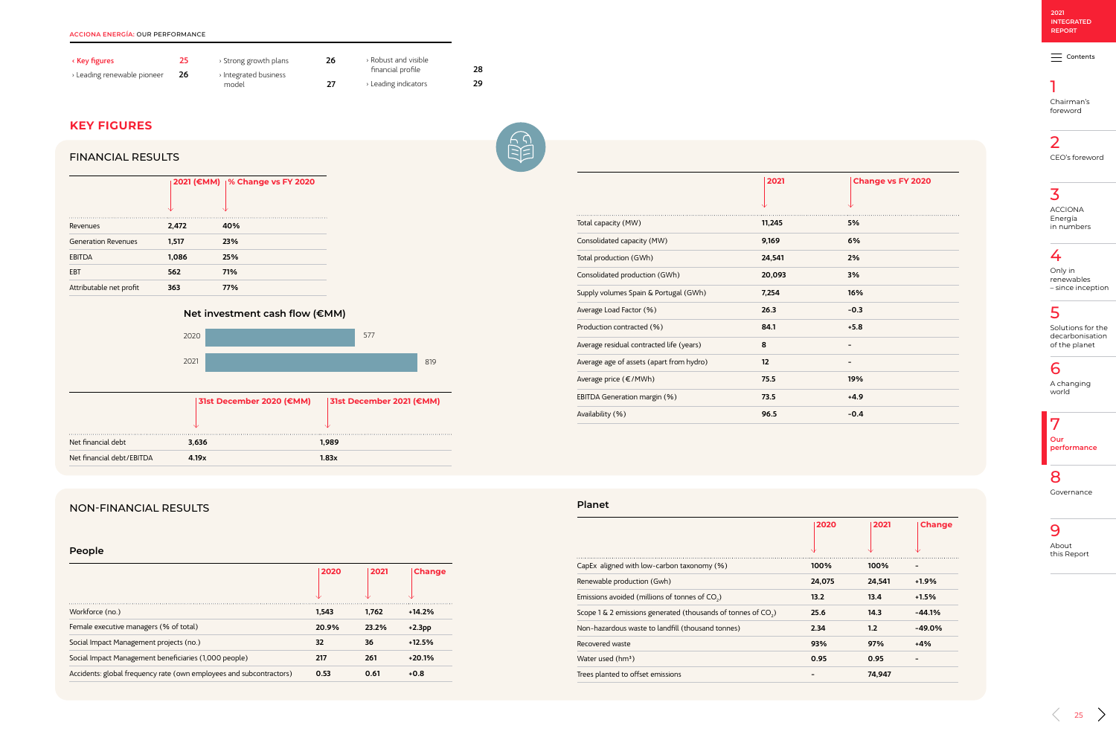$\equiv$  [Contents](#page-1-0)

### 1

[Chairman's](#page-2-0)  foreword

#### 2 [CEO's foreword](#page-3-0)

3 ACCIONA Energía

[in numbers](#page-4-0)

### 4

Only in renewables [– since inception](#page-6-0)

### 5

[Solutions for the](#page-11-0)  decarbonisation of the planet

### 6

[A changing](#page-18-0)  world

7 **Our [performance](#page-22-0)**

#### 8

[Governance](#page-29-0)

9

About [this Report](#page-34-0)

| <b>Change vs FY 2020</b> |
|--------------------------|
|                          |
| 5%                       |
| 6%                       |
| 2%                       |
| 3%                       |
| 16%                      |
| $-0.3$                   |
| $+5.8$                   |
|                          |
|                          |
| 19%                      |
| $+4.9$                   |
| $-0.4$                   |

<span id="page-23-0"></span>

| ← Key figures             | 25 | > Strong growth plans | 26 | Robust and visible > |    |
|---------------------------|----|-----------------------|----|----------------------|----|
| Leading renewable pioneer | 26 | > Integrated business |    | financial profile    | 28 |
|                           |    | model                 | 27 | Leading indicators › | 29 |

|                           | <b>31st December 2020 (€MM)</b> | 31st December 2021 (€MM) |
|---------------------------|---------------------------------|--------------------------|
|                           |                                 |                          |
| Net financial debt        | 3.636                           | 1.989                    |
| Net financial debt/EBITDA | 4.19x                           | 1.83x                    |



#### **KEY FIGURES**

|                            |       | 2021 (€MM)   % Change vs FY 2020 |
|----------------------------|-------|----------------------------------|
| Revenues                   | 2,472 | 40%                              |
| <b>Generation Revenues</b> | 1,517 | 23%                              |
| <b>EBITDA</b>              | 1,086 | 25%                              |
| <b>FBT</b>                 | 562   | 71%                              |
| Attributable net profit    | 363   | 77%                              |

#### **Net investment cash flow (€MM)**

| Total capacity (MW)                      | 11,245            | 5%     |
|------------------------------------------|-------------------|--------|
| Consolidated capacity (MW)               | 9,169             | 6%     |
| Total production (GWh)                   | 24,541            | 2%     |
| Consolidated production (GWh)            | 20,093            | 3%     |
| Supply volumes Spain & Portugal (GWh)    | 7,254             | 16%    |
| Average Load Factor (%)                  | 26.3              | $-0.3$ |
| Production contracted (%)                | 84.1              | $+5.8$ |
| Average residual contracted life (years) | 8                 |        |
| Average age of assets (apart from hydro) | $12 \overline{ }$ |        |
| Average price (€/MWh)                    | 75.5              | 19%    |
| EBITDA Generation margin (%)             | 73.5              | $+4.9$ |
| Availability (%)                         | 96.5              | -0.4   |

#### **People**

|                                                                     | 2020  | 2021  | <b>Change</b> |
|---------------------------------------------------------------------|-------|-------|---------------|
| Workforce (no.)                                                     | 1.543 | 1.762 | $+14.2%$      |
| Female executive managers (% of total)                              | 20.9% | 23.2% | $+2.3pp$      |
| Social Impact Management projects (no.)                             | 32    | 36    | $+12.5%$      |
| Social Impact Management beneficiaries (1,000 people)               | 217   | 261   | $+20.1%$      |
| Accidents: global frequency rate (own employees and subcontractors) | 0.53  | 0.61  | $+0.8$        |

#### **Planet**

 $\sim$ 

 $\ddotsc$ 

|                                                                           | 2020   | 2021   | <b>Change</b>            |
|---------------------------------------------------------------------------|--------|--------|--------------------------|
|                                                                           |        |        |                          |
| CapEx aligned with low-carbon taxonomy (%)                                | 100%   | 100%   | $\overline{\phantom{0}}$ |
| Renewable production (Gwh)                                                | 24,075 | 24,541 | $+1.9%$                  |
| Emissions avoided (millions of tonnes of CO <sub>2</sub> )                | 13.2   | 13.4   | $+1.5%$                  |
| Scope 1 & 2 emissions generated (thousands of tonnes of CO <sub>2</sub> ) | 25.6   | 14.3   | $-44.1%$                 |
| Non-hazardous waste to landfill (thousand tonnes)                         | 2.34   | 1.2    | $-49.0%$                 |
| Recovered waste                                                           | 93%    | 97%    | $+4%$                    |
| Water used (hm <sup>3</sup> )                                             | 0.95   | 0.95   |                          |
| Trees planted to offset emissions                                         |        | 74,947 |                          |

**2021** 

#### NON-FINANCIAL RESULTS



#### FINANCIAL RESULTS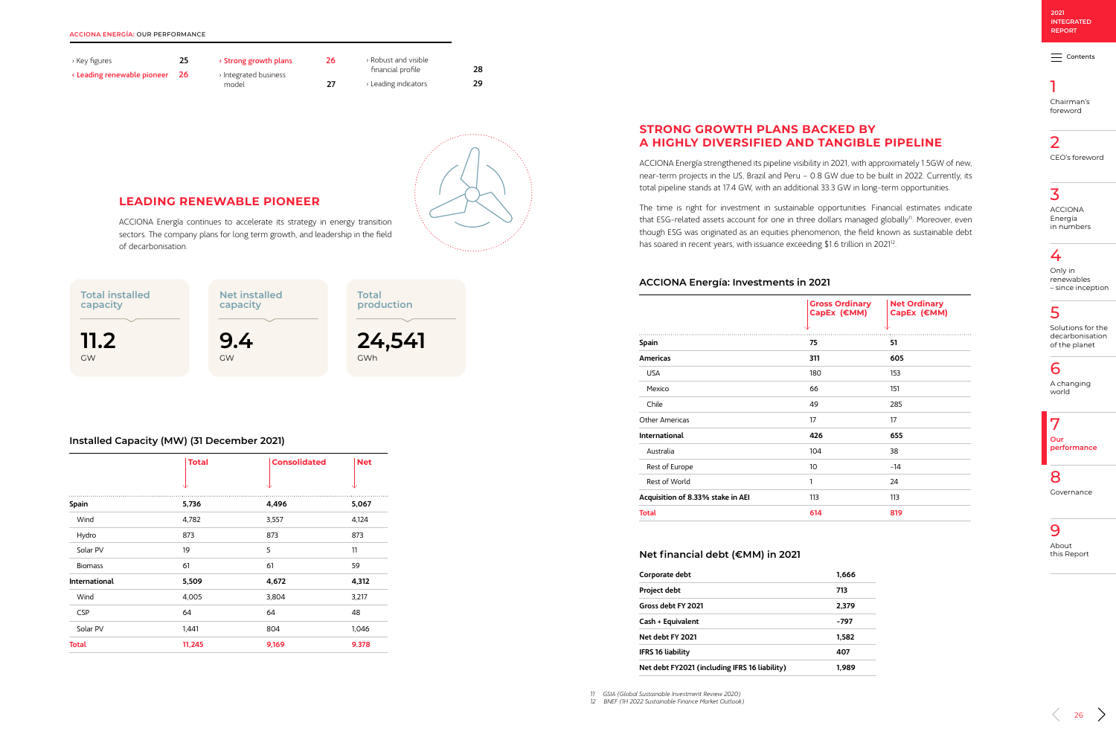$\equiv$  [Contents](#page-1-0)

1

[Chairman's](#page-2-0)  foreword

#### 2 [CEO's foreword](#page-3-0)

3 ACCIONA Energía [in numbers](#page-4-0)

### 4

Only in renewables [– since inception](#page-6-0)

#### 5

[Solutions for the](#page-11-0)  decarbonisation of the planet

#### 6

[A changing](#page-18-0)  world

7

**Our [performance](#page-22-0)**

8

[Governance](#page-29-0)

9

About [this Report](#page-34-0)

#### <span id="page-24-0"></span>**ACCIONA ENERGÍA:** OUR PERFORMANCE

| > Key figures             | 25   | ← Strong growth plans | 26 | > Robust and visible |    |
|---------------------------|------|-----------------------|----|----------------------|----|
| Leading renewable pioneer | - 26 | Integrated business   |    | financial profile    | 28 |
|                           |      | model                 | 27 | > Leading indicators | 29 |



The time is right for investment in sustainable opportunities. Financial estimates indicate that ESG-related assets account for one in three dollars managed globally<sup>11</sup>. Moreover, even though ESG was originated as an equities phenomenon, the field known as sustainable debt has soared in recent years, with issuance exceeding \$1.6 trillion in 2021<sup>12</sup>.

ACCIONA Energía continues to accelerate its strategy in energy transition sectors. The company plans for long term growth, and leadership in the field of decarbonisation.

#### **STRONG GROWTH PLANS BACKED BY A HIGHLY DIVERSIFIED AND TANGIBLE PIPELINE**

ACCIONA Energía strengthened its pipeline visibility in 2021, with approximately 1.5GW of new, near-term projects in the US, Brazil and Peru – 0.8 GW due to be built in 2022. Currently, its total pipeline stands at 17.4 GW, with an additional 33.3 GW in long-term opportunities.

#### **Installed Capacity (MW) (31 December 2021)**

|                      | <b>Total</b> | <b>Consolidated</b> | <b>Net</b> |
|----------------------|--------------|---------------------|------------|
|                      |              | ◡                   |            |
| Spain                | 5,736        | 4,496               | 5,067      |
| Wind                 | 4,782        | 3,557               | 4,124      |
| Hydro                | 873          | 873                 | 873        |
| Solar PV             | 19           | 5                   | 11         |
| <b>Biomass</b>       | 61           | 61                  | 59         |
| <b>International</b> | 5,509        | 4,672               | 4,312      |
| Wind                 | 4,005        | 3,804               | 3,217      |
| <b>CSP</b>           | 64           | 64                  | 48         |
| Solar PV             | 1,441        | 804                 | 1,046      |
| <b>Total</b>         | 11,245       | 9,169               | 9.378      |
|                      |              |                     |            |



#### **ACCIONA Energía: Investments in 2021**

|                                   | <b>Gross Ordinary</b><br>CapEx (€MM) | <b>Net Ordinary</b><br>CapEx (€MM) |
|-----------------------------------|--------------------------------------|------------------------------------|
| <b>Spain</b>                      | 75                                   | 51                                 |
| <b>Americas</b>                   | 311                                  | 605                                |
| <b>USA</b>                        | 180                                  | 153                                |
| Mexico                            | 66                                   | 151                                |
| Chile                             | 49                                   | 285                                |
| Other Americas                    | 17                                   | 17                                 |
| <b>International</b>              | 426                                  | 655                                |
| Australia                         | 104                                  | 38                                 |
| Rest of Europe                    | 10                                   | $-14$                              |
| Rest of World                     | 1                                    | 24                                 |
| Acquisition of 8.33% stake in AEI | 113                                  | 113                                |
| <b>Total</b>                      | 614                                  | 819                                |

#### **Net financial debt (€MM) in 2021**

| Corporate debt                                | 1,666  |
|-----------------------------------------------|--------|
| Project debt                                  | 713    |
| Gross debt FY 2021                            | 2,379  |
| Cash + Equivalent                             | $-797$ |
| Net debt FY 2021                              | 1,582  |
| IFRS 16 liability                             | 407    |
| Net debt FY2021 (including IFRS 16 liability) | 1,989  |

*11 GSIA (Global Sustainable Investment Review 2020) 12 BNEF (1H 2022 Sustainable Finance Market Outlook)*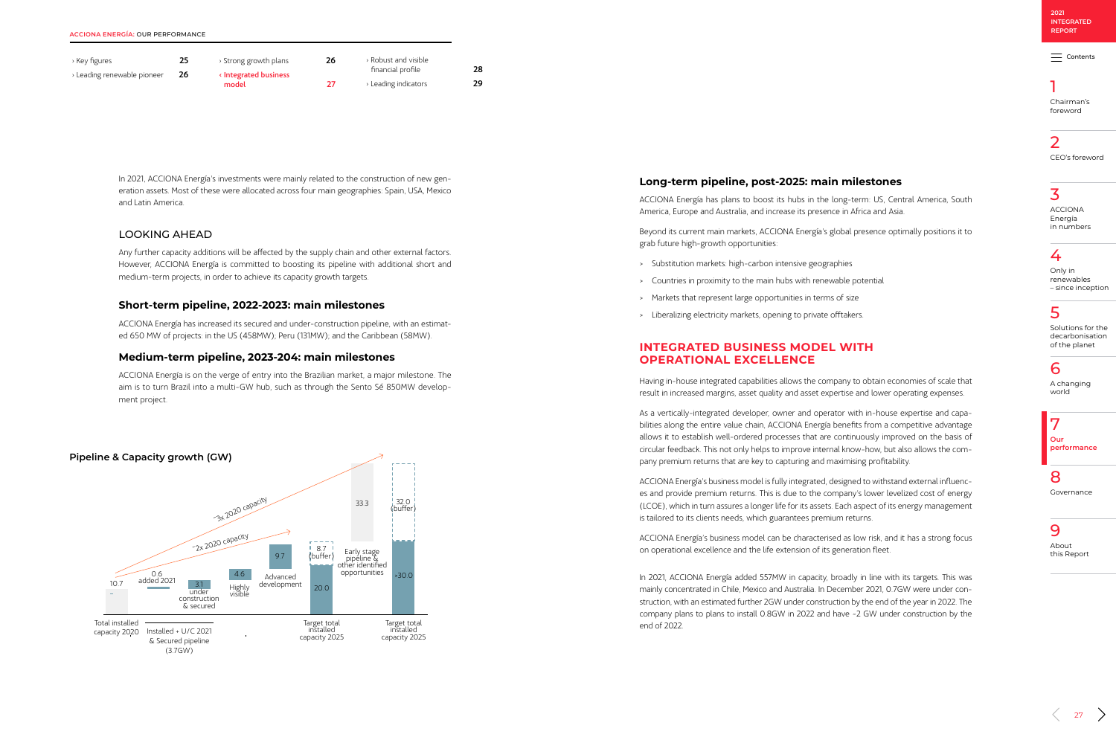$\equiv$  [Contents](#page-1-0)

### 1

[Chairman's](#page-2-0)  foreword

2 [CEO's foreword](#page-3-0)

- 
- 

3 ACCIONA Energía [in numbers](#page-4-0)

### 4

Only in renewables [– since inception](#page-6-0)

### 5

[Solutions for the](#page-11-0)  decarbonisation of the planet

6

[A changing](#page-18-0)  world

7 **Our [performance](#page-22-0)**

8 [Governance](#page-29-0)

9 About [this Report](#page-34-0)

 $27$ 

<span id="page-25-0"></span>

| > Key figures               | 25 | > Strong growth plans | 26 | > Robust and visible |    |
|-----------------------------|----|-----------------------|----|----------------------|----|
| > Leading renewable pioneer | 26 | Integrated business   |    | financial profile    | 28 |
|                             |    | model                 | 77 | > Leading indicators | 29 |

In 2021, ACCIONA Energía's investments were mainly related to the construction of new generation assets. Most of these were allocated across four main geographies: Spain, USA, Mexico and Latin America.

#### LOOKING AHEAD

Any further capacity additions will be affected by the supply chain and other external factors. However, ACCIONA Energía is committed to boosting its pipeline with additional short and medium-term projects, in order to achieve its capacity growth targets.

#### **Short-term pipeline, 2022-2023: main milestones**

ACCIONA Energía has increased its secured and under-construction pipeline, with an estimated 650 MW of projects: in the US (458MW); Peru (131MW); and the Caribbean (58MW).

#### **Medium-term pipeline, 2023-204: main milestones**

ACCIONA Energía is on the verge of entry into the Brazilian market, a major milestone. The aim is to turn Brazil into a multi-GW hub, such as through the Sento Sé 850MW development project.

### **Long-term pipeline, post-2025: main milestones**

ACCIONA Energía has plans to boost its hubs in the long-term: US, Central America, South America, Europe and Australia, and increase its presence in Africa and Asia.

Beyond its current main markets, ACCIONA Energía's global presence optimally positions it to grab future high-growth opportunities:

- > Substitution markets: high-carbon intensive geographies
- > Countries in proximity to the main hubs with renewable potential
- > Markets that represent large opportunities in terms of size
- > Liberalizing electricity markets, opening to private offtakers.

#### **INTEGRATED BUSINESS MODEL WITH OPERATIONAL EXCELLENCE**

Having in-house integrated capabilities allows the company to obtain economies of scale that result in increased margins, asset quality and asset expertise and lower operating expenses.

As a vertically-integrated developer, owner and operator with in-house expertise and capabilities along the entire value chain, ACCIONA Energía benefits from a competitive advantage allows it to establish well-ordered processes that are continuously improved on the basis of circular feedback. This not only helps to improve internal know-how, but also allows the company premium returns that are key to capturing and maximising profitability.

ACCIONA Energía's business model is fully integrated, designed to withstand external influences and provide premium returns. This is due to the company's lower levelized cost of energy (LCOE), which in turn assures a longer life for its assets. Each aspect of its energy management is tailored to its clients needs, which guarantees premium returns.

ACCIONA Energía's business model can be characterised as low risk, and it has a strong focus on operational excellence and the life extension of its generation fleet.

In 2021, ACCIONA Energía added 557MW in capacity, broadly in line with its targets. This was mainly concentrated in Chile, Mexico and Australia. In December 2021, 0.7GW were under construction, with an estimated further 2GW under construction by the end of the year in 2022. The company plans to plans to install 0.8GW in 2022 and have ~2 GW under construction by the end of 2022.

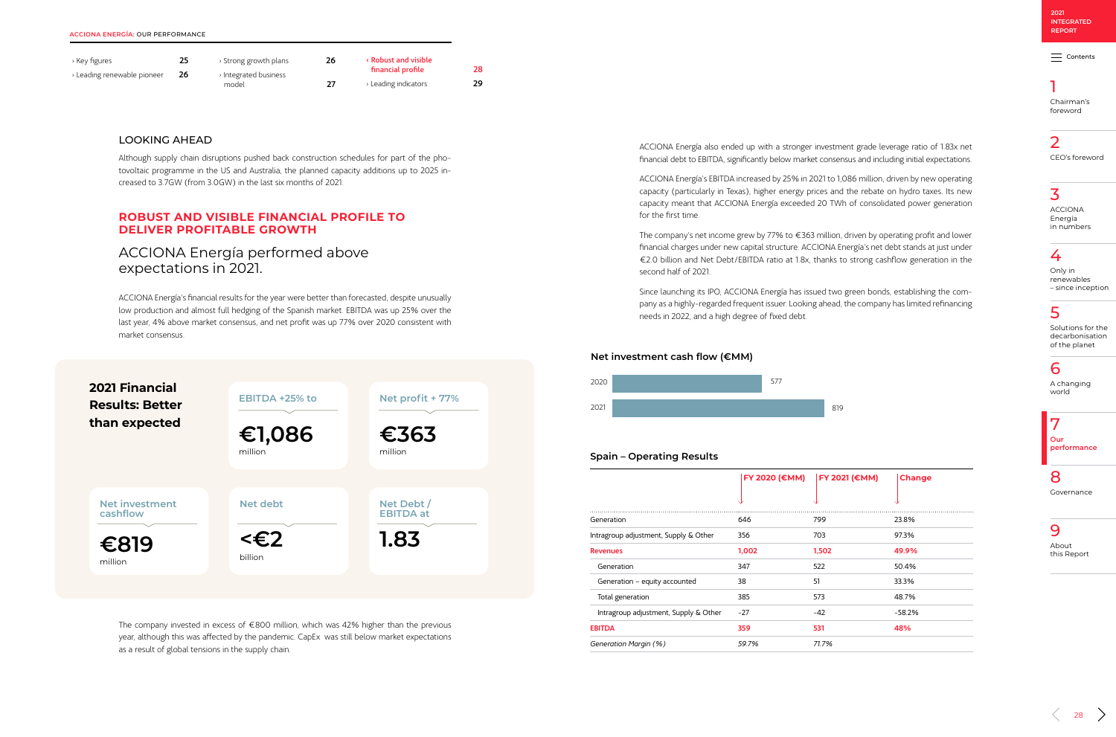

 $\equiv$  [Contents](#page-1-0)

### 1

[Chairman's](#page-2-0)  foreword

2 [CEO's foreword](#page-3-0)

3 ACCIONA Energía [in numbers](#page-4-0)

### 4

Only in renewables [– since inception](#page-6-0)

#### 5

[Solutions for the](#page-11-0)  decarbonisation of the planet

#### 6

[A changing](#page-18-0)  world

### 7

**Our [performance](#page-22-0)**

#### 8

[Governance](#page-29-0)

9

About [this Report](#page-34-0)

<span id="page-26-0"></span>

| > Key figures               | 25 | > Strong growth plans | 26 | <b>Robust and visible</b> |    |
|-----------------------------|----|-----------------------|----|---------------------------|----|
| > Leading renewable pioneer | 26 | > Integrated business |    | financial profile         | 28 |
|                             |    | model                 | 27 | Leading indicators ،      | 29 |

#### LOOKING AHEAD

Although supply chain disruptions pushed back construction schedules for part of the photovoltaic programme in the US and Australia, the planned capacity additions up to 2025 increased to 3.7GW (from 3.0GW) in the last six months of 2021.

#### **ROBUST AND VISIBLE FINANCIAL PROFILE TO DELIVER PROFITABLE GROWTH**

ACCIONA Energía performed above expectations in 2021.

ACCIONA Energía's financial results for the year were better than forecasted, despite unusually low production and almost full hedging of the Spanish market. EBITDA was up 25% over the last year, 4% above market consensus, and net profit was up 77% over 2020 consistent with market consensus.

ACCIONA Energía also ended up with a stronger investment grade leverage ratio of 1.83x net financial debt to EBITDA, significantly below market consensus and including initial expectations.

The company invested in excess of  $\epsilon$ 800 million, which was 42% higher than the previous year, although this was affected by the pandemic. CapEx was still below market expectations as a result of global tensions in the supply chain.

ACCIONA Energía's EBITDA increased by 25% in 2021 to 1,086 million, driven by new operating capacity (particularly in Texas), higher energy prices and the rebate on hydro taxes. Its new capacity meant that ACCIONA Energía exceeded 20 TWh of consolidated power generation for the first time.

The company's net income grew by 77% to €363 million, driven by operating profit and lower financial charges under new capital structure. ACCIONA Energía's net debt stands at just under €2.0 billion and Net Debt/EBITDA ratio at 1.8x, thanks to strong cashflow generation in the second half of 2021.

Since launching its IPO, ACCIONA Energía has issued two green bonds, establishing the company as a highly-regarded frequent issuer. Looking ahead, the company has limited refinancing needs in 2022, and a high degree of fixed debt.

|                                       | FY 2020 (€MM) | FY 2021 (€MM) | <b>Change</b> |
|---------------------------------------|---------------|---------------|---------------|
|                                       |               |               |               |
| Generation                            | 646           | 799           | 23.8%         |
| Intragroup adjustment, Supply & Other | 356           | 703           | 97.3%         |
| <b>Revenues</b>                       | 1,002         | 1,502         | 49.9%         |
| Generation                            | 347           | 522           | 50.4%         |
| Generation - equity accounted         | 38            | 51            | 33.3%         |
| Total generation                      | 385           | 573           | 48.7%         |
| Intragroup adjustment, Supply & Other | $-27$         | $-42$         | $-58.2%$      |
| <b>EBITDA</b>                         | 359           | 531           | 48%           |
| Generation Margin (%)                 | 59.7%         | 71.7%         |               |



#### **Net investment cash flow (€MM)**



819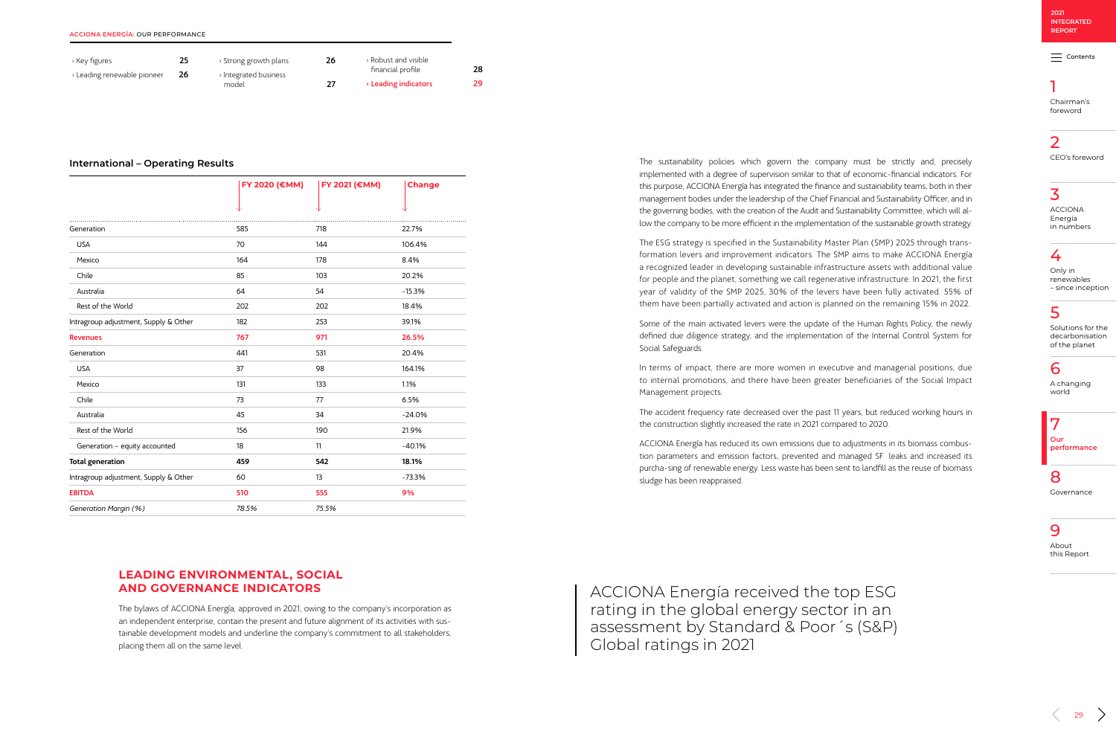$\equiv$  [Contents](#page-1-0)

### 1

[Chairman's](#page-2-0)  foreword

2 [CEO's foreword](#page-3-0)

3 ACCIONA Energía [in numbers](#page-4-0)

### 4

Only in renewables [– since inception](#page-6-0)

### 5

[Solutions for the](#page-11-0)  decarbonisation of the planet

#### 6

[A changing](#page-18-0)  world

7 **Our [performance](#page-22-0)**

8 [Governance](#page-29-0)

9

 $29$ 

About [this Report](#page-34-0)

<span id="page-27-0"></span>

| > Key figures               | 25 | > Strong growth plans | 26 | > Robust and visible      |    |
|-----------------------------|----|-----------------------|----|---------------------------|----|
| > Leading renewable pioneer | 26 | > Integrated business |    | financial profile         | 28 |
|                             |    | model                 | 27 | <b>Leading indicators</b> | 29 |

#### **LEADING ENVIRONMENTAL, SOCIAL AND GOVERNANCE INDICATORS**

The bylaws of ACCIONA Energía, approved in 2021, owing to the company's incorporation as an independent enterprise, contain the present and future alignment of its activities with sustainable development models and underline the company's commitment to all stakeholders, placing them all on the same level.

The sustainability policies which govern the company must be strictly and, precisely implemented with a degree of supervision similar to that of economic-financial indicators. For this purpose, ACCIONA Energía has integrated the finance and sustainability teams, both in their management bodies under the leadership of the Chief Financial and Sustainability Officer, and in the governing bodies, with the creation of the Audit and Sustainability Committee, which will allow the company to be more efficient in the implementation of the sustainable growth strategy.

The ESG strategy is specified in the Sustainability Master Plan (SMP) 2025 through transformation levers and improvement indicators. The SMP aims to make ACCIONA Energía a recognized leader in developing sustainable infrastructure assets with additional value for people and the planet, something we call regenerative infrastructure. In 2021, the first year of validity of the SMP 2025, 30% of the levers have been fully activated. 55% of them have been partially activated and action is planned on the remaining 15% in 2022.

Some of the main activated levers were the update of the Human Rights Policy, the newly defined due diligence strategy, and the implementation of the Internal Control System for Social Safeguards.

In terms of impact, there are more women in executive and managerial positions, due to internal promotions, and there have been greater beneficiaries of the Social Impact Management projects.

The accident frequency rate decreased over the past 11 years, but reduced working hours in the construction slightly increased the rate in 2021 compared to 2020.

ACCIONA Energía has reduced its own emissions due to adjustments in its biomass combustion parameters and emission factors, prevented and managed SF leaks and increased its purcha-sing of renewable energy. Less waste has been sent to landfill as the reuse of biomass sludge has been reappraised.

#### **International – Operating Results**

|                                       | FY 2020 (€MM) | FY 2021 (€MM) | <b>Change</b> |
|---------------------------------------|---------------|---------------|---------------|
|                                       |               |               |               |
| Generation                            | 585           | 718           | 22.7%         |
| <b>USA</b>                            | 70            | 144           | 106.4%        |
| Mexico                                | 164           | 178           | 8.4%          |
| Chile                                 | 85            | 103           | 20.2%         |
| Australia                             | 64            | 54            | $-15.3%$      |
| Rest of the World                     | 202           | 202           | 18.4%         |
| Intragroup adjustment, Supply & Other | 182           | 253           | 39.1%         |
| <b>Revenues</b>                       | 767           | 971           | 26.5%         |
| Generation                            | 441           | 531           | 20.4%         |
| <b>USA</b>                            | 37            | 98            | 164.1%        |
| Mexico                                | 131           | 133           | 1.1%          |
| Chile                                 | 73            | 77            | 6.5%          |
| Australia                             | 45            | 34            | $-24.0%$      |
| Rest of the World                     | 156           | 190           | 21.9%         |
| Generation - equity accounted         | 18            | 11            | $-40.1%$      |
| <b>Total generation</b>               | 459           | 542           | 18.1%         |
| Intragroup adjustment, Supply & Other | 60            | 13            | $-73.3%$      |
| <b>EBITDA</b>                         | 510           | 555           | 9%            |
| Generation Margin (%)                 | 78.5%         | 75.5%         |               |

ACCIONA Energía received the top ESG rating in the global energy sector in an assessment by Standard & Poor´s (S&P) Global ratings in 2021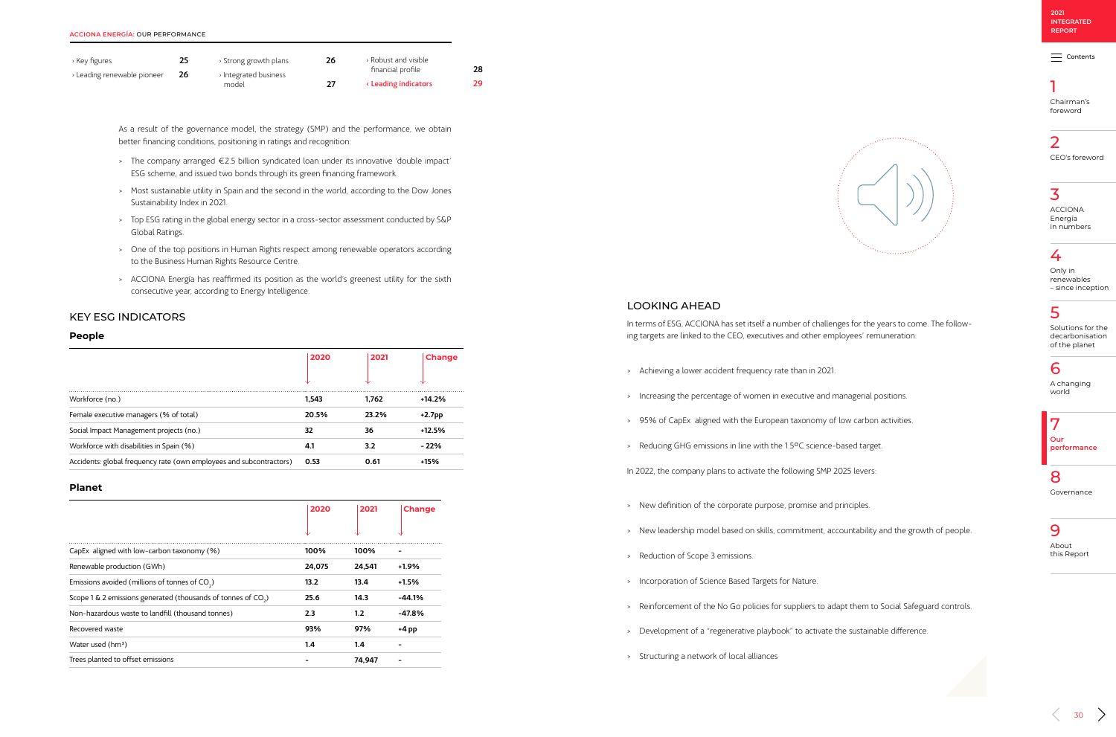$\equiv$  [Contents](#page-1-0)

### 1

[Chairman's](#page-2-0)  foreword

2 [CEO's foreword](#page-3-0)

3 ACCIONA Energía [in numbers](#page-4-0)

### 4

Only in renewables [– since inception](#page-6-0)

### 5

[Solutions for the](#page-11-0)  decarbonisation of the planet

6

[A changing](#page-18-0)  world

7 **Our [performance](#page-22-0)**

8 [Governance](#page-29-0)

9

About [this Report](#page-34-0)

As a result of the governance model, the strategy (SMP) and the performance, we obtain better financing conditions, positioning in ratings and recognition:

- > The company arranged €2.5 billion syndicated loan under its innovative 'double impact' ESG scheme, and issued two bonds through its green financing framework.
- > Most sustainable utility in Spain and the second in the world, according to the Dow Jones Sustainability Index in 2021.
- > Top ESG rating in the global energy sector in a cross-sector assessment conducted by S&P Global Ratings.
- > One of the top positions in Human Rights respect among renewable operators according to the Business Human Rights Resource Centre.
- > ACCIONA Energía has reaffirmed its position as the world's greenest utility for the sixth consecutive year, according to Energy Intelligence.

#### LOOKING AHEAD

In terms of ESG, ACCIONA has set itself a number of challenges for the years to come. The following targets are linked to the CEO, executives and other employees' remuneration:

- > Achieving a lower accident frequency rate than in 2021.
- > Increasing the percentage of women in executive and managerial positions.
- > 95% of CapEx aligned with the European taxonomy of low carbon activities.
- > Reducing GHG emissions in line with the 1.5ºC science-based target.
- In 2022, the company plans to activate the following SMP 2025 levers:
- > New definition of the corporate purpose, promise and principles.
- 
- > Reduction of Scope 3 emissions.
- > Incorporation of Science Based Targets for Nature.
- 
- > Development of a "regenerative playbook" to activate the sustainable difference.
- > Structuring a network of local alliances

> New leadership model based on skills, commitment, accountability and the growth of people.

> Reinforcement of the No Go policies for suppliers to adapt them to Social Safeguard controls.

 $\overline{30}$   $\overline{)}$ 

#### **People**

|                                                                     | 2020  | 2021  | <b>Change</b> |
|---------------------------------------------------------------------|-------|-------|---------------|
|                                                                     |       |       |               |
| Workforce (no.)                                                     | 1.543 | 1,762 | $+14.2%$      |
| Female executive managers (% of total)                              | 20.5% | 23.2% | $+2.7$ pp     |
| Social Impact Management projects (no.)                             | 32    | 36    | $+12.5%$      |
| Workforce with disabilities in Spain (%)                            | 4.1   | 3.2   | $-22%$        |
| Accidents: global frequency rate (own employees and subcontractors) | 0.53  | 0.61  | $+15%$        |

#### **Planet**

|                                                                           | 2020   | 2021   | <b>Change</b> |
|---------------------------------------------------------------------------|--------|--------|---------------|
|                                                                           |        |        |               |
| CapEx aligned with low-carbon taxonomy (%)                                | 100%   | 100%   |               |
| Renewable production (GWh)                                                | 24,075 | 24.541 | +1.9%         |
| Emissions avoided (millions of tonnes of $CO2$ )                          | 13.2   | 13.4   | +1.5%         |
| Scope 1 & 2 emissions generated (thousands of tonnes of CO <sub>2</sub> ) | 25.6   | 14.3   | -44.1%        |
| Non-hazardous waste to landfill (thousand tonnes)                         | 2.3    | 1.2    | -47.8%        |
| Recovered waste                                                           | 93%    | 97%    | +4 pp         |
| Water used (hm <sup>3</sup> )                                             | 1.4    | 1.4    |               |
| Trees planted to offset emissions                                         |        | 74.947 |               |

#### KEY ESG INDICATORS

| > Key figures             | 25 | > Strong growth plans | 26 | > Robust and visible |    |
|---------------------------|----|-----------------------|----|----------------------|----|
| Leading renewable pioneer | 26 | > Integrated business |    | financial profile    | 28 |
|                           |    | model                 | 27 | Leading indicators   | 29 |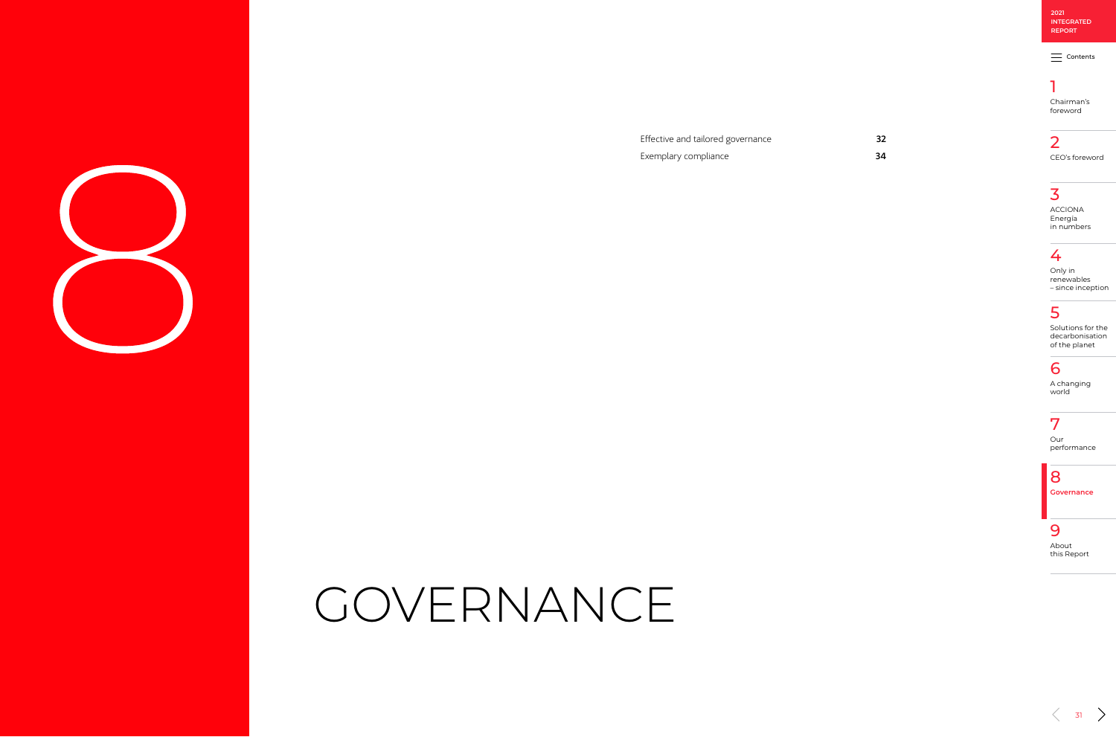<span id="page-29-0"></span>

[Effective and tailored governance](#page-30-0) **32** [Exemplary compliance](#page-32-0) 34

**2021 [INTEGRATED](#page-0-0)  REPORT**

 $\equiv$  [Contents](#page-1-0)

### 1

[Chairman's](#page-2-0)  foreword

2 [CEO's foreword](#page-3-0)

### 3

ACCIONA Energía [in numbers](#page-4-0)

### 4

Only in renewables [– since inception](#page-6-0)

### 5

[Solutions for the](#page-11-0)  decarbonisation of the planet

#### 6

[A changing](#page-18-0)  world

7

Our [performance](#page-22-0)

#### 8

**Governance**

#### 9

About [this Report](#page-34-0)

 $\langle 31 \rangle$ 

# GOVERNANCE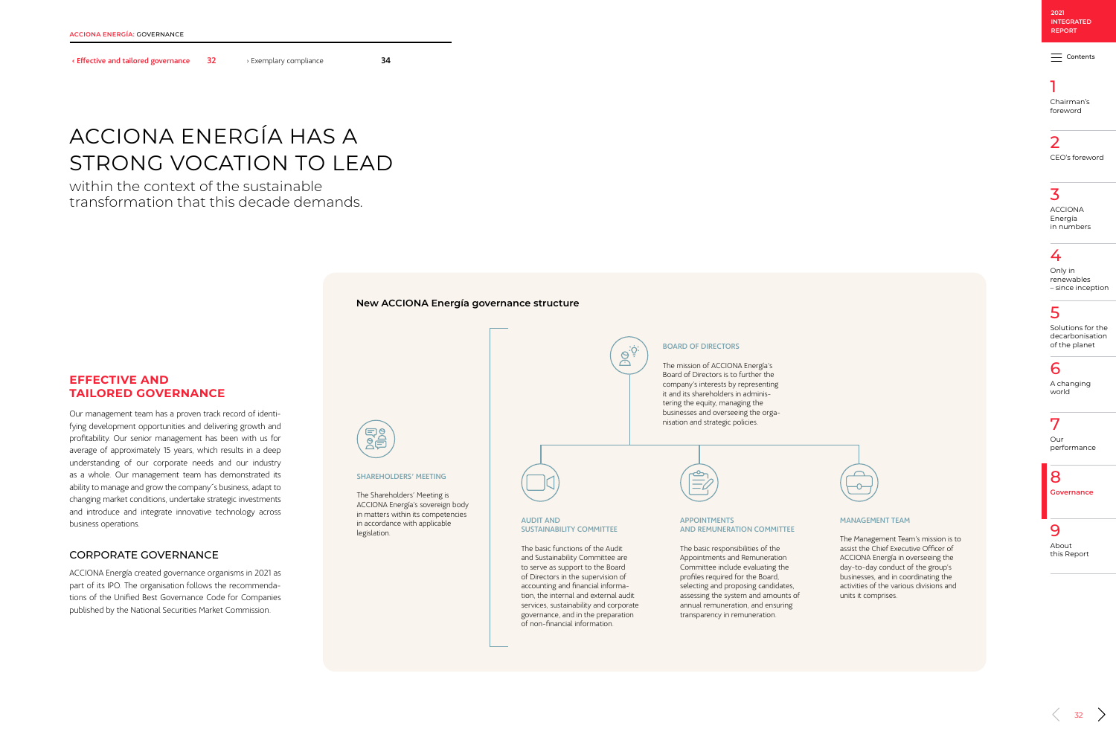$\equiv$  [Contents](#page-1-0)

### 1

[Chairman's](#page-2-0)  foreword

2 [CEO's foreword](#page-3-0)

### 3

ACCIONA Energía [in numbers](#page-4-0)

### 4

Only in renewables [– since inception](#page-6-0)

#### 5

[Solutions for the](#page-11-0)  decarbonisation of the planet

#### 6

[A changing](#page-18-0)  world

7

Our [performance](#page-22-0)

#### 8

**[Governance](#page-29-0)**

#### 9

About [this Report](#page-34-0)



#### <span id="page-30-0"></span>**Effective and tailored governance 32** > Exemplary compliance 34

#### **EFFECTIVE AND TAILORED GOVERNANCE**

Our management team has a proven track record of identifying development opportunities and delivering growth and profitability. Our senior management has been with us for average of approximately 15 years, which results in a deep understanding of our corporate needs and our industry as a whole. Our management team has demonstrated its ability to manage and grow the company´s business, adapt to changing market conditions, undertake strategic investments and introduce and integrate innovative technology across business operations.

#### CORPORATE GOVERNANCE

ACCIONA Energía created governance organisms in 2021 as part of its IPO. The organisation follows the recommendations of the Unified Best Governance Code for Companies published by the National Securities Market Commission.

## ACCIONA ENERGÍA HAS A STRONG VOCATION TO LEAD

within the context of the sustainable transformation that this decade demands.



#### MANAGEMENT TEAM

The Management Team's mission is to assist the Chief Executive Officer of ACCIONA Energía in overseeing the day-to-day conduct of the group's businesses, and in coordinating the activities of the various divisions and units it comprises.

 $\frac{32}{ }$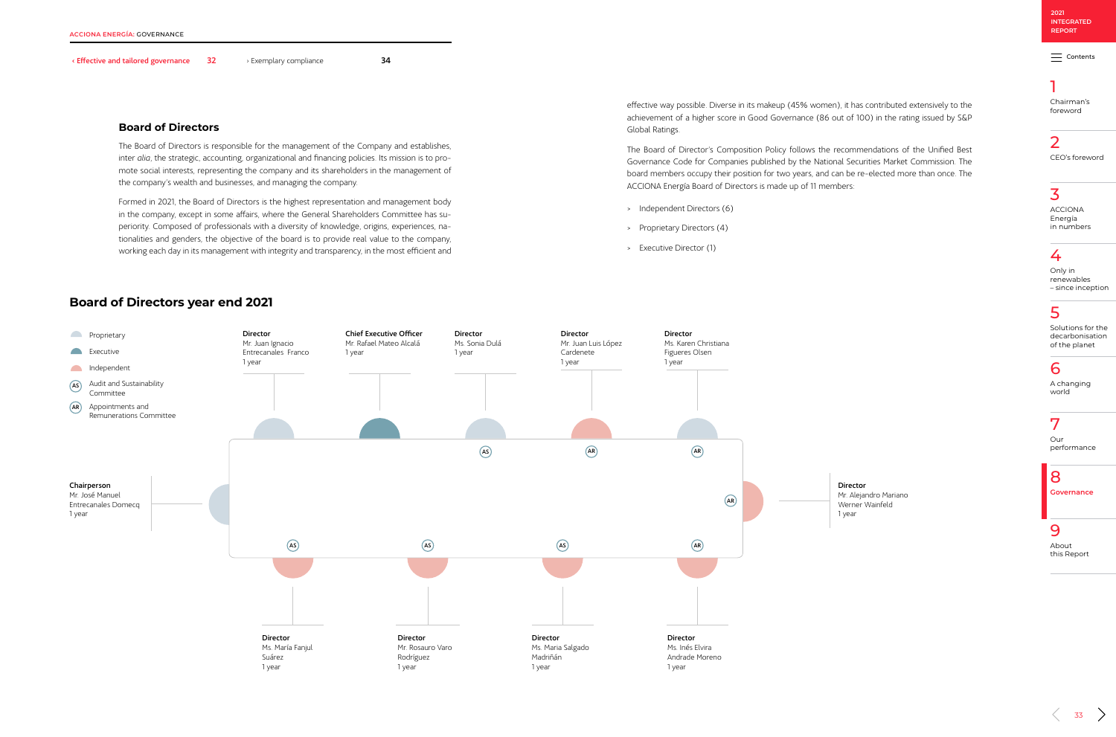

 $\equiv$  [Contents](#page-1-0)

### 1

[Chairman's](#page-2-0)  foreword

2 [CEO's foreword](#page-3-0)

3

ACCIONA Energía [in numbers](#page-4-0)

### 4

Only in renewables [– since inception](#page-6-0)

#### 5

[Solutions for the](#page-11-0)  decarbonisation of the planet

#### 6

[A changing](#page-18-0)  world

7 Our

[performance](#page-22-0)

#### 8

**[Governance](#page-29-0)**

#### 9

About [this Report](#page-34-0)

**Effective and tailored governance 32** > Exemplary compliance 34



Director Mr. Alejandro Mariano Werner Wainfeld 1 year

#### **Board of Directors year end 2021**

#### **Board of Directors**

The Board of Directors is responsible for the management of the Company and establishes, inter *alia*, the strategic, accounting, organizational and financing policies. Its mission is to promote social interests, representing the company and its shareholders in the management of the company's wealth and businesses, and managing the company.

Formed in 2021, the Board of Directors is the highest representation and management body in the company, except in some affairs, where the General Shareholders Committee has superiority. Composed of professionals with a diversity of knowledge, origins, experiences, nationalities and genders, the objective of the board is to provide real value to the company, working each day in its management with integrity and transparency, in the most efficient and

effective way possible. Diverse in its makeup (45% women), it has contributed extensively to the achievement of a higher score in Good Governance (86 out of 100) in the rating issued by S&P Global Ratings.

The Board of Director's Composition Policy follows the recommendations of the Unified Best Governance Code for Companies published by the National Securities Market Commission. The board members occupy their position for two years, and can be re-elected more than once. The ACCIONA Energía Board of Directors is made up of 11 members:

- > Independent Directors (6)
- > Proprietary Directors (4)
- > Executive Director (1)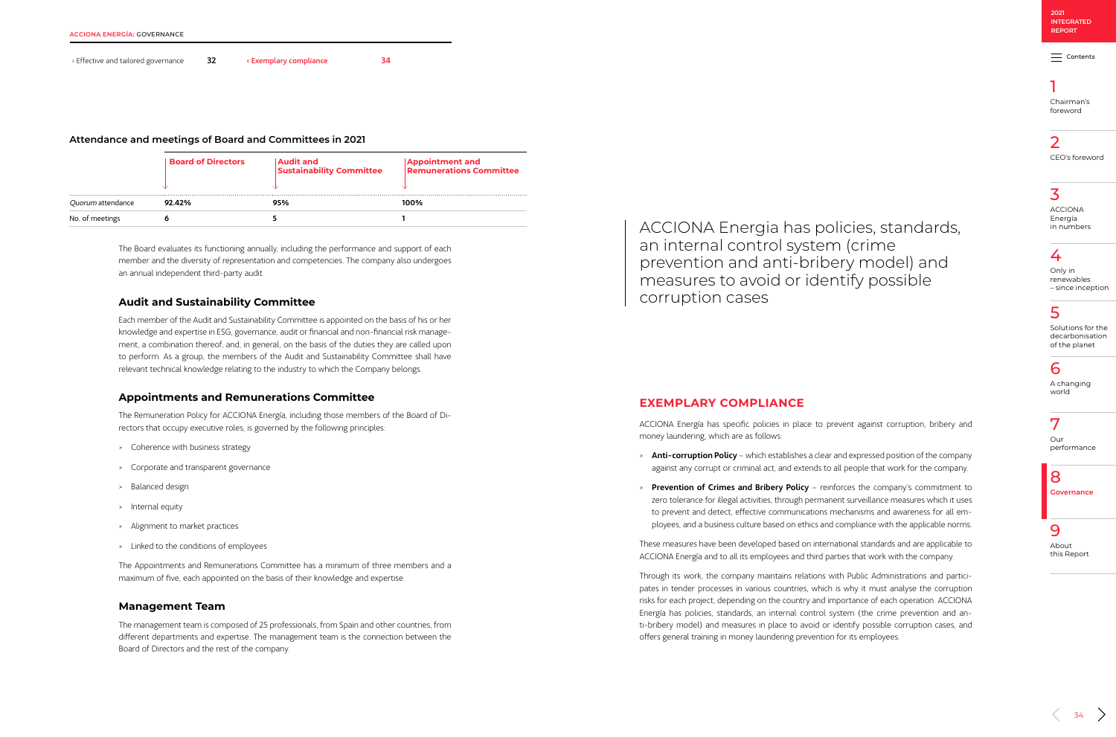$=$  [Contents](#page-1-0)

### 1

[Chairman's](#page-2-0)  foreword

2 [CEO's foreword](#page-3-0)

3 ACCIONA

Energía [in numbers](#page-4-0)

#### 4

Only in renewables [– since inception](#page-6-0)

### 5

[Solutions for the](#page-11-0)  decarbonisation of the planet

#### 6

[A changing](#page-18-0)  world

7 Our [performance](#page-22-0)

### 8

**[Governance](#page-29-0)**

9

About [this Report](#page-34-0)

#### <span id="page-32-0"></span>> Effective and tailored governance **32 compliance** 34

The Board evaluates its functioning annually, including the performance and support of each member and the diversity of representation and competencies. The company also undergoes an annual independent third-party audit.

#### **Audit and Sustainability Committee**

Each member of the Audit and Sustainability Committee is appointed on the basis of his or her knowledge and expertise in ESG, governance, audit or financial and non-financial risk management, a combination thereof, and, in general, on the basis of the duties they are called upon to perform. As a group, the members of the Audit and Sustainability Committee shall have relevant technical knowledge relating to the industry to which the Company belongs.

#### **Appointments and Remunerations Committee**

The Remuneration Policy for ACCIONA Energía, including those members of the Board of Directors that occupy executive roles, is governed by the following principles:

- > Coherence with business strategy
- > Corporate and transparent governance
- > Balanced design
- > Internal equity
- > Alignment to market practices
- > Linked to the conditions of employees

The Appointments and Remunerations Committee has a minimum of three members and a maximum of five, each appointed on the basis of their knowledge and expertise.

#### **Management Team**

The management team is composed of 25 professionals, from Spain and other countries, from different departments and expertise. The management team is the connection between the Board of Directors and the rest of the company.

#### **Attendance and meetings of Board and Committees in 2021**

|                   | <b>Board of Directors</b> | <b>Audit and</b><br><b>Sustainability Committee</b> | <b>Appointment and<br/>Remunerations Committee</b> |
|-------------------|---------------------------|-----------------------------------------------------|----------------------------------------------------|
| Quorum attendance | 92.42%                    | 95%                                                 | 100%                                               |
| No. of meetings   |                           |                                                     |                                                    |

#### **EXEMPLARY COMPLIANCE**

ACCIONA Energía has specific policies in place to prevent against corruption, bribery and money laundering, which are as follows:

- 
- 

> **Anti-corruption Policy** – which establishes a clear and expressed position of the company against any corrupt or criminal act, and extends to all people that work for the company.

> **Prevention of Crimes and Bribery Policy** – reinforces the company's commitment to zero tolerance for illegal activities, through permanent surveillance measures which it uses to prevent and detect, effective communications mechanisms and awareness for all employees, and a business culture based on ethics and compliance with the applicable norms.

 $\frac{34}{ }$ 

These measures have been developed based on international standards and are applicable to ACCIONA Energía and to all its employees and third parties that work with the company.

Through its work, the company maintains relations with Public Administrations and participates in tender processes in various countries, which is why it must analyse the corruption risks for each project, depending on the country and importance of each operation. ACCIONA Energía has policies, standards, an internal control system (the crime prevention and anti-bribery model) and measures in place to avoid or identify possible corruption cases, and offers general training in money laundering prevention for its employees.

# ACCIONA Energia has policies, standards, prevention and anti-bribery model) and

an internal control system (crime measures to avoid or identify possible corruption cases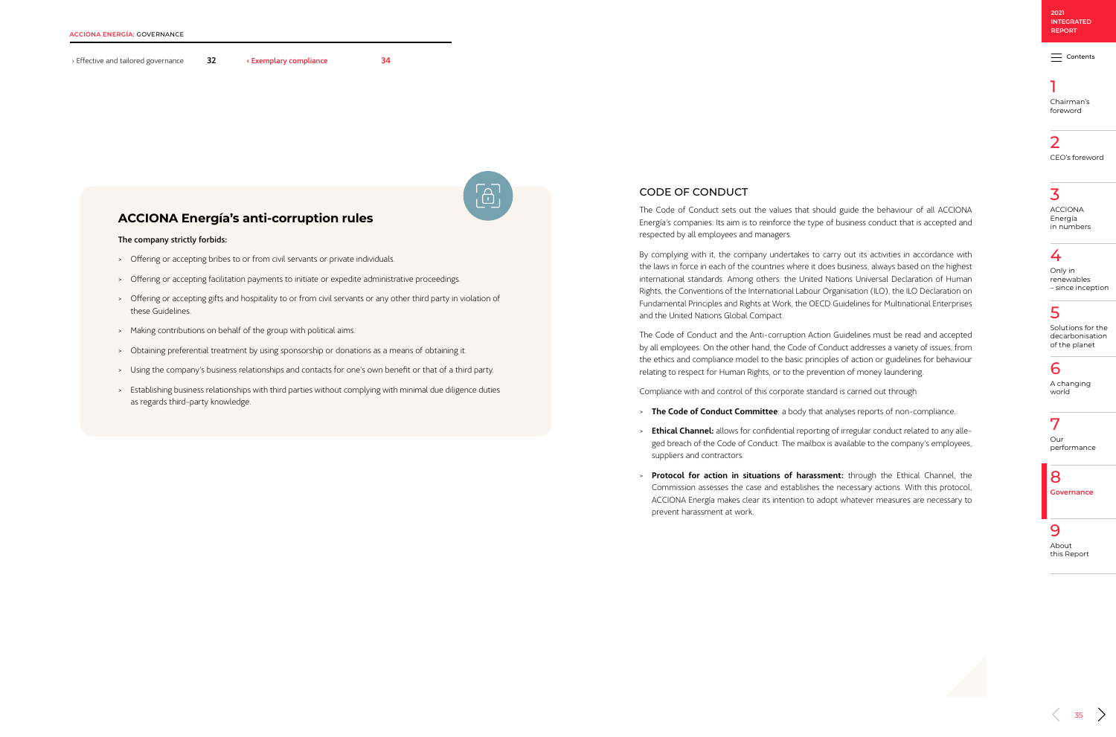$\equiv$  [Contents](#page-1-0)

### 1

[Chairman's](#page-2-0)  foreword

2 [CEO's foreword](#page-3-0)

3 ACCIONA Energía

### [in numbers](#page-4-0)

4

#### Only in renewables [– since inception](#page-6-0)

5

[Solutions for the](#page-11-0)  decarbonisation of the planet

#### 6

[A changing](#page-18-0)  world

7 Our [performance](#page-22-0)

### 8

**[Governance](#page-29-0)**

9

About [this Report](#page-34-0)

#### > Effective and tailored governance **32 complary compliance** 34

 $\lceil \cdot \rceil$ 

#### CODE OF CONDUCT

The Code of Conduct sets out the values that should guide the behaviour of all ACCIONA Energía's companies. Its aim is to reinforce the type of business conduct that is accepted and respected by all employees and managers.

By complying with it, the company undertakes to carry out its activities in accordance with the laws in force in each of the countries where it does business, always based on the highest international standards. Among others: the United Nations Universal Declaration of Human Rights, the Conventions of the International Labour Organisation (ILO), the ILO Declaration on Fundamental Principles and Rights at Work, the OECD Guidelines for Multinational Enterprises and the United Nations Global Compact.

The Code of Conduct and the Anti-corruption Action Guidelines must be read and accepted by all employees. On the other hand, the Code of Conduct addresses a variety of issues, from the ethics and compliance model to the basic principles of action or guidelines for behaviour relating to respect for Human Rights, or to the prevention of money laundering.

Compliance with and control of this corporate standard is carried out through:

> **The Code of Conduct Committee**: a body that analyses reports of non-compliance.

> **Ethical Channel:** allows for confidential reporting of irregular conduct related to any alleged breach of the Code of Conduct. The mailbox is available to the company's employees,

> **Protocol for action in situations of harassment:** through the Ethical Channel, the Commission assesses the case and establishes the necessary actions. With this protocol, ACCIONA Energía makes clear its intention to adopt whatever measures are necessary to

- 
- suppliers and contractors.
- prevent harassment at work.



 $\overline{35}$   $\overline{\phantom{1}}$ 

#### **ACCIONA Energía's anti-corruption rules**

#### The company strictly forbids:

- > Offering or accepting bribes to or from civil servants or private individuals.
- > Offering or accepting facilitation payments to initiate or expedite administrative proceedings.
- > Offering or accepting gifts and hospitality to or from civil servants or any other third party in violation of these Guidelines.
- > Making contributions on behalf of the group with political aims.
- > Obtaining preferential treatment by using sponsorship or donations as a means of obtaining it.
- > Using the company's business relationships and contacts for one's own benefit or that of a third party.
- > Establishing business relationships with third parties without complying with minimal due diligence duties as regards third-party knowledge.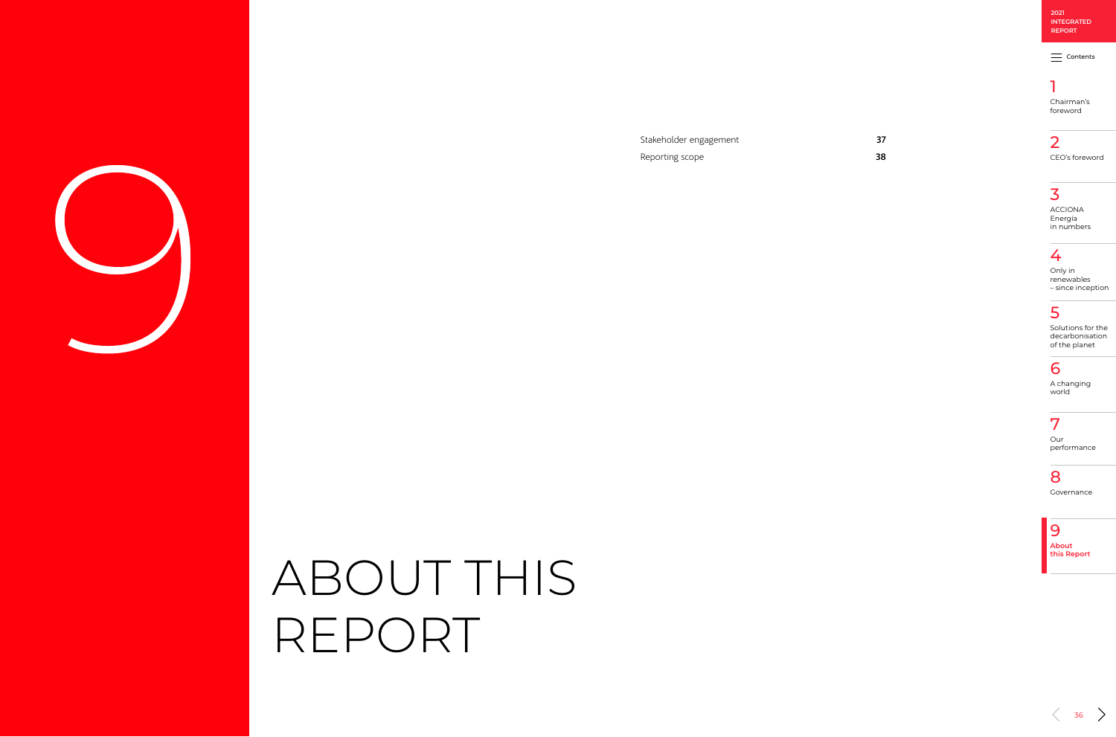<span id="page-34-0"></span>

[Stakeholder engagement](#page-35-0) 37 [Reporting scope](#page-36-0) 38 **2021 [INTEGRATED](#page-0-0)  REPORT**

 $\equiv$  [Contents](#page-1-0)

### 1

[Chairman's](#page-2-0)  foreword

2 [CEO's foreword](#page-3-0)

### 3

ACCIONA Energía [in numbers](#page-4-0)

#### 4

Only in renewables [– since inception](#page-6-0)

### 5

[Solutions for the](#page-11-0)  decarbonisation of the planet

#### 6

[A changing](#page-18-0)  world

7

Our [performance](#page-22-0)

### 8

[Governance](#page-29-0)

#### 9 **About this Report**

 $\left\langle 36 \right\rangle$ 

# ABOUT THIS REPORT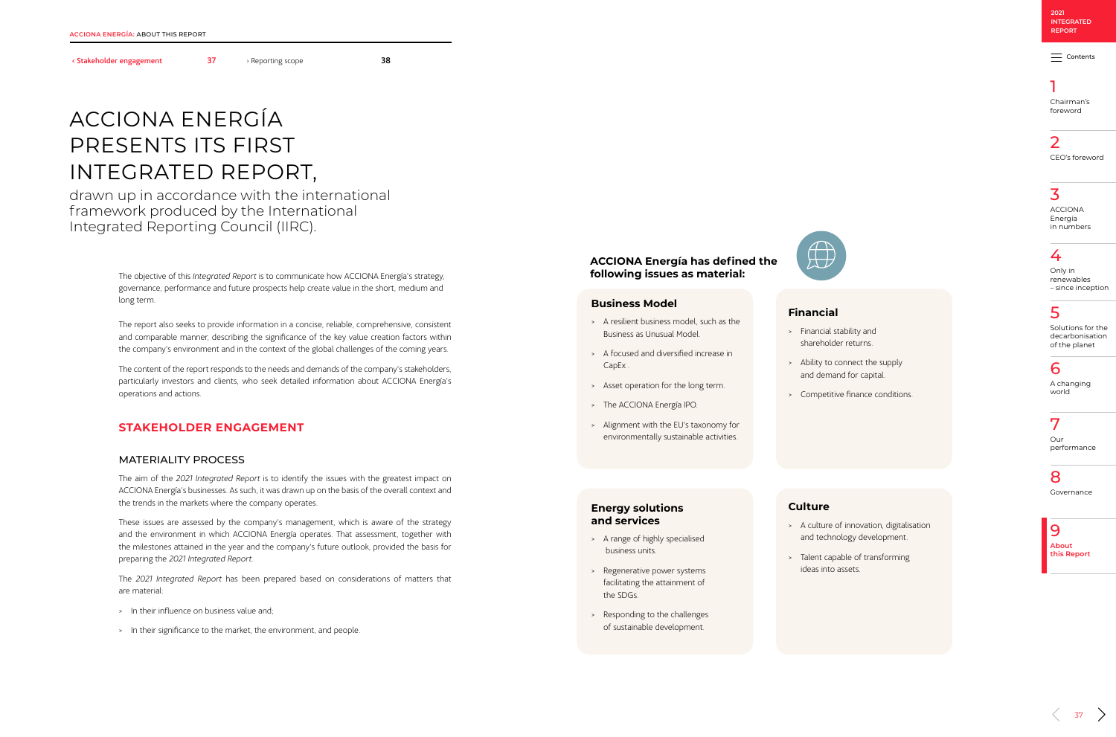$\equiv$  [Contents](#page-1-0)

### 1

[Chairman's](#page-2-0)  foreword

2 [CEO's foreword](#page-3-0)

### 3

ACCIONA Energía [in numbers](#page-4-0)

### 4

Only in renewables [– since inception](#page-6-0)

#### 5

[Solutions for the](#page-11-0)  decarbonisation of the planet

#### 6

[A changing](#page-18-0)  world

7 Our [performance](#page-22-0)

#### 8

[Governance](#page-29-0)

#### 9 **About [this Report](#page-34-0)**

 $\bigoplus$ 

#### <span id="page-35-0"></span>‹ Stakeholder engagement 37 [› Reporting scope](#page-36-0) 38

The objective of this *Integrated Report* is to communicate how ACCIONA Energía's strategy, governance, performance and future prospects help create value in the short, medium and long term.

The report also seeks to provide information in a concise, reliable, comprehensive, consistent and comparable manner, describing the significance of the key value creation factors within the company's environment and in the context of the global challenges of the coming years.

The content of the report responds to the needs and demands of the company's stakeholders, particularly investors and clients, who seek detailed information about ACCIONA Energía's operations and actions.

#### **STAKEHOLDER ENGAGEMENT**

#### MATERIALITY PROCESS

The aim of the *2021 Integrated Report* is to identify the issues with the greatest impact on ACCIONA Energía's businesses. As such, it was drawn up on the basis of the overall context and the trends in the markets where the company operates.

These issues are assessed by the company's management, which is aware of the strategy and the environment in which ACCIONA Energía operates. That assessment, together with the milestones attained in the year and the company's future outlook, provided the basis for preparing the *2021 Integrated Report.*

The *2021 Integrated Report* has been prepared based on considerations of matters that are material:

- > In their influence on business value and;
- > In their significance to the market, the environment, and people.

#### **ACCIONA Energía has defined the following issues as material:**

#### **Business Model**

- > A resilient business model, such as the Business as Unusual Model.
- > A focused and diversified increase in CapEx .
- > Asset operation for the long term.
- > The ACCIONA Energía IPO.
- > Alignment with the EU's taxonomy for environmentally sustainable activities.

#### **Financial**

- > Financial stability and shareholder returns.
- > Ability to connect the supply and demand for capital.
- > Competitive finance conditions.

#### **Energy solutions and services**

- > A range of highly specialised business units.
- > Regenerative power systems facilitating the attainment of the SDGs.
- > Responding to the challenges of sustainable development.

#### **Culture**

- > A culture of innovation, digitalisation and technology development.
- > Talent capable of transforming ideas into assets.

 $\overline{37}$  >

## ACCIONA ENERGÍA PRESENTS ITS FIRST INTEGRATED REPORT,

drawn up in accordance with the international framework produced by the International Integrated Reporting Council (IIRC).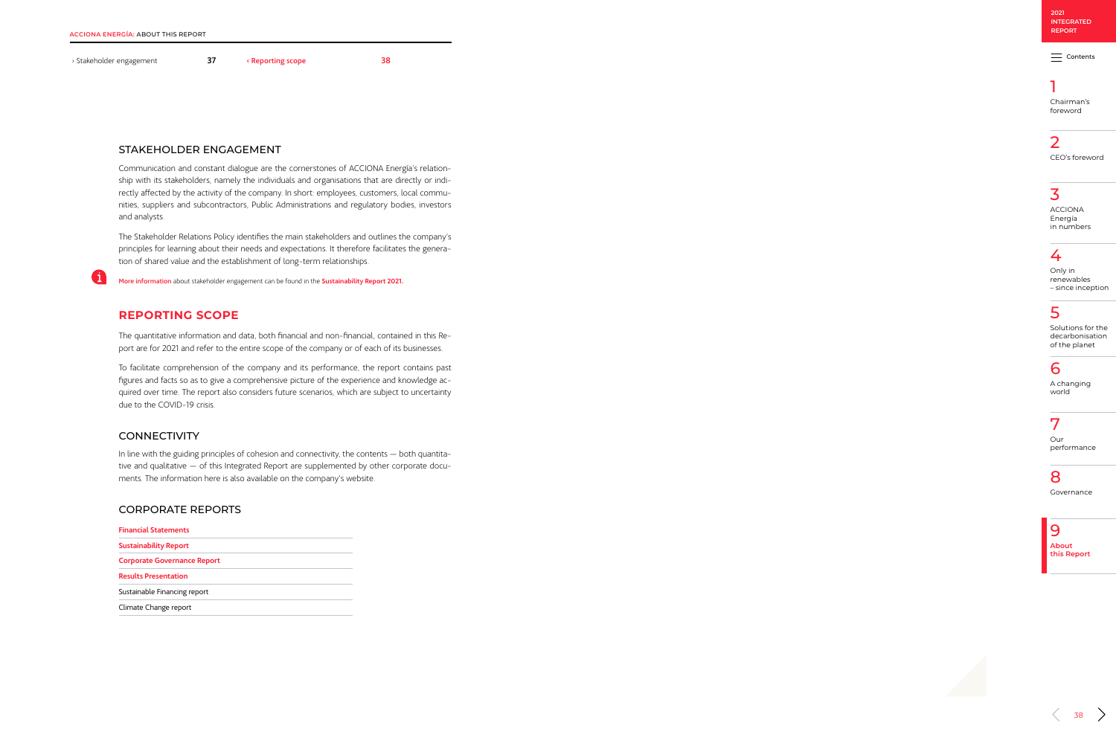

 $\equiv$  [Contents](#page-1-0)

### 1

[Chairman's](#page-2-0)  foreword

2 [CEO's foreword](#page-3-0)

### 3

ACCIONA Energía [in numbers](#page-4-0)

### 4

Only in renewables [– since inception](#page-6-0)

#### 5

[Solutions for the](#page-11-0)  decarbonisation of the planet

#### 6

[A changing](#page-18-0)  world

7

Our [performance](#page-22-0)

#### 8

[Governance](#page-29-0)

9 **About [this Report](#page-34-0)**



<span id="page-36-0"></span>> Stakeholder engagement **37 Comparished as a state** 38 **38** 

#### STAKEHOLDER ENGAGEMENT

Communication and constant dialogue are the cornerstones of ACCIONA Energía's relationship with its stakeholders, namely the individuals and organisations that are directly or indirectly affected by the activity of the company. In short: employees, customers, local communities, suppliers and subcontractors, Public Administrations and regulatory bodies, investors and analysts.

The Stakeholder Relations Policy identifies the main stakeholders and outlines the company's principles for learning about their needs and expectations. It therefore facilitates the generation of shared value and the establishment of long-term relationships.

More information about stakeholder engagement can be found in the **[Sustainability Report 2021.](https://procoazrbolsast1.blob.core.windows.net/media/ja2edceo/sustainability-report-2021-of-acciona-energia.pdf)**

#### **REPORTING SCOPE**

 $\blacksquare$ 

The quantitative information and data, both financial and non-financial, contained in this Report are for 2021 and refer to the entire scope of the company or of each of its businesses.

To facilitate comprehension of the company and its performance, the report contains past figures and facts so as to give a comprehensive picture of the experience and knowledge acquired over time. The report also considers future scenarios, which are subject to uncertainty due to the COVID-19 crisis.

#### **CONNECTIVITY**

In line with the guiding principles of cohesion and connectivity, the contents — both quantitative and qualitative — of this Integrated Report are supplemented by other corporate documents. The information here is also available on the company's website.

#### CORPORATE REPORTS

| <b>Financial Statements</b>        |  |
|------------------------------------|--|
| <b>Sustainability Report</b>       |  |
| <b>Corporate Governance Report</b> |  |
| <b>Results Presentation</b>        |  |
| Sustainable Financing report       |  |
| Climata Chanba                     |  |

Climate Change report